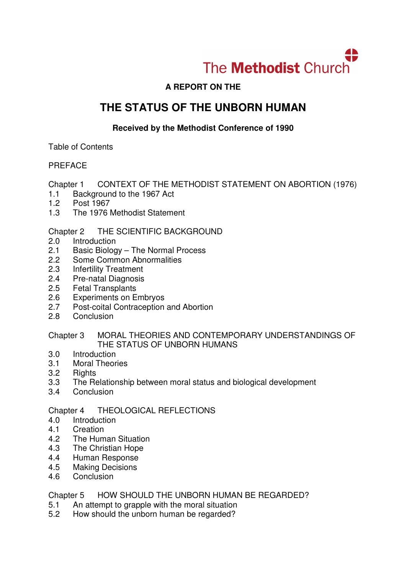

# **A REPORT ON THE**

# **THE STATUS OF THE UNBORN HUMAN**

## **Received by the Methodist Conference of 1990**

Table of Contents

#### PREFACE

Chapter 1 CONTEXT OF THE METHODIST STATEMENT ON ABORTION (1976)

- 1.1 Background to the 1967 Act
- 1.2 Post 1967
- 1.3 The 1976 Methodist Statement

Chapter 2 THE SCIENTIFIC BACKGROUND

- 2.0 Introduction
- 2.1 Basic Biology The Normal Process
- 2.2 Some Common Abnormalities
- 2.3 Infertility Treatment
- 2.4 Pre-natal Diagnosis
- 2.5 Fetal Transplants
- 2.6 Experiments on Embryos
- 2.7 Post-coital Contraception and Abortion
- 2.8 Conclusion

Chapter 3 MORAL THEORIES AND CONTEMPORARY UNDERSTANDINGS OF THE STATUS OF UNBORN HUMANS

- 3.0 Introduction
- 3.1 Moral Theories
- 3.2 Rights
- 3.3 The Relationship between moral status and biological development
- 3.4 Conclusion

### Chapter 4 THEOLOGICAL REFLECTIONS

- 4.0 Introduction
- 4.1 Creation
- 4.2 The Human Situation
- 4.3 The Christian Hope
- 4.4 Human Response<br>4.5 Making Decisions
- Making Decisions
- 4.6 Conclusion

#### Chapter 5 HOW SHOULD THE UNBORN HUMAN BE REGARDED?

- 5.1 An attempt to grapple with the moral situation
- 5.2 How should the unborn human be regarded?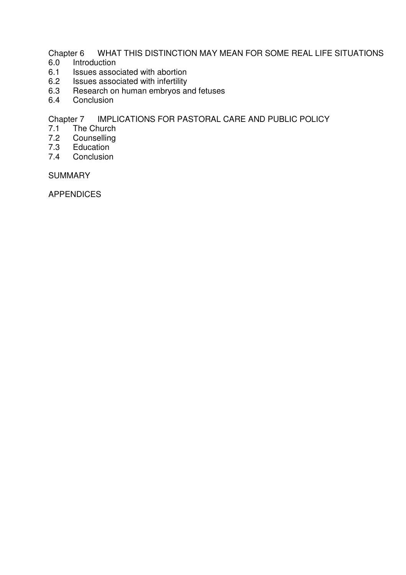Chapter 6 WHAT THIS DISTINCTION MAY MEAN FOR SOME REAL LIFE SITUATIONS

- 6.0 Introduction<br>6.1 Issues assoc
- Issues associated with abortion
- 6.2 Issues associated with infertility
- 6.3 Research on human embryos and fetuses
- 6.4 Conclusion

Chapter 7 IMPLICATIONS FOR PASTORAL CARE AND PUBLIC POLICY

- 7.1 The Church<br>7.2 Counselling
- 7.2 Counselling<br>7.3 Education
- 7.3 Education<br>7.4 Conclusion
- **Conclusion**

SUMMARY

APPENDICES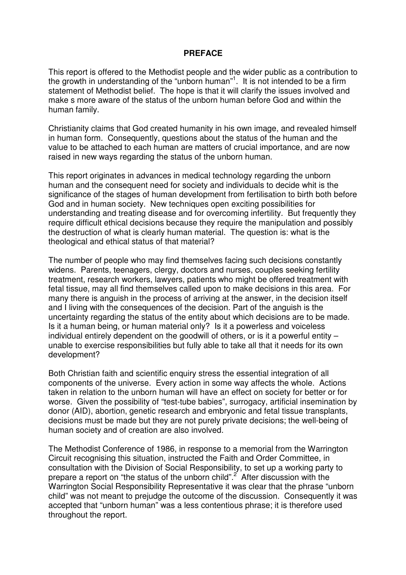#### **PREFACE**

This report is offered to the Methodist people and the wider public as a contribution to the growth in understanding of the "unborn human"<sup>1</sup>. It is not intended to be a firm statement of Methodist belief. The hope is that it will clarify the issues involved and make s more aware of the status of the unborn human before God and within the human family.

Christianity claims that God created humanity in his own image, and revealed himself in human form. Consequently, questions about the status of the human and the value to be attached to each human are matters of crucial importance, and are now raised in new ways regarding the status of the unborn human.

This report originates in advances in medical technology regarding the unborn human and the consequent need for society and individuals to decide whit is the significance of the stages of human development from fertilisation to birth both before God and in human society. New techniques open exciting possibilities for understanding and treating disease and for overcoming infertility. But frequently they require difficult ethical decisions because they require the manipulation and possibly the destruction of what is clearly human material. The question is: what is the theological and ethical status of that material?

The number of people who may find themselves facing such decisions constantly widens. Parents, teenagers, clergy, doctors and nurses, couples seeking fertility treatment, research workers, lawyers, patients who might be offered treatment with fetal tissue, may all find themselves called upon to make decisions in this area. For many there is anguish in the process of arriving at the answer, in the decision itself and I living with the consequences of the decision. Part of the anguish is the uncertainty regarding the status of the entity about which decisions are to be made. Is it a human being, or human material only? Is it a powerless and voiceless individual entirely dependent on the goodwill of others, or is it a powerful entity – unable to exercise responsibilities but fully able to take all that it needs for its own development?

Both Christian faith and scientific enquiry stress the essential integration of all components of the universe. Every action in some way affects the whole. Actions taken in relation to the unborn human will have an effect on society for better or for worse. Given the possibility of "test-tube babies", surrogacy, artificial insemination by donor (AID), abortion, genetic research and embryonic and fetal tissue transplants, decisions must be made but they are not purely private decisions; the well-being of human society and of creation are also involved.

The Methodist Conference of 1986, in response to a memorial from the Warrington Circuit recognising this situation, instructed the Faith and Order Committee, in consultation with the Division of Social Responsibility, to set up a working party to prepare a report on "the status of the unborn child".<sup>2</sup> After discussion with the Warrington Social Responsibility Representative it was clear that the phrase "unborn child" was not meant to prejudge the outcome of the discussion. Consequently it was accepted that "unborn human" was a less contentious phrase; it is therefore used throughout the report.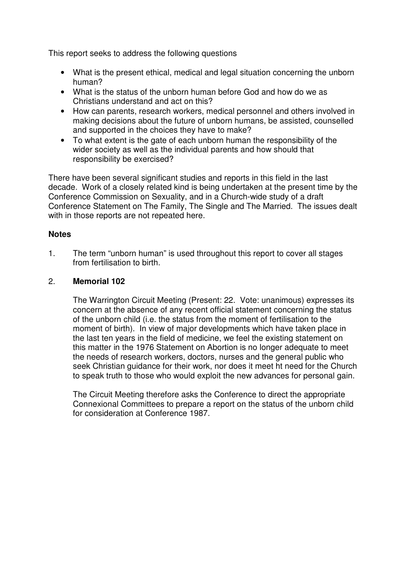This report seeks to address the following questions

- What is the present ethical, medical and legal situation concerning the unborn human?
- What is the status of the unborn human before God and how do we as Christians understand and act on this?
- How can parents, research workers, medical personnel and others involved in making decisions about the future of unborn humans, be assisted, counselled and supported in the choices they have to make?
- To what extent is the gate of each unborn human the responsibility of the wider society as well as the individual parents and how should that responsibility be exercised?

There have been several significant studies and reports in this field in the last decade. Work of a closely related kind is being undertaken at the present time by the Conference Commission on Sexuality, and in a Church-wide study of a draft Conference Statement on The Family, The Single and The Married. The issues dealt with in those reports are not repeated here.

#### **Notes**

1. The term "unborn human" is used throughout this report to cover all stages from fertilisation to birth.

#### 2. **Memorial 102**

The Warrington Circuit Meeting (Present: 22. Vote: unanimous) expresses its concern at the absence of any recent official statement concerning the status of the unborn child (i.e. the status from the moment of fertilisation to the moment of birth). In view of major developments which have taken place in the last ten years in the field of medicine, we feel the existing statement on this matter in the 1976 Statement on Abortion is no longer adequate to meet the needs of research workers, doctors, nurses and the general public who seek Christian guidance for their work, nor does it meet ht need for the Church to speak truth to those who would exploit the new advances for personal gain.

The Circuit Meeting therefore asks the Conference to direct the appropriate Connexional Committees to prepare a report on the status of the unborn child for consideration at Conference 1987.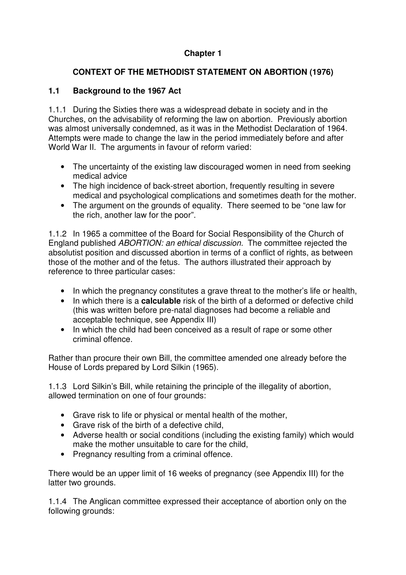# **Chapter 1**

# **CONTEXT OF THE METHODIST STATEMENT ON ABORTION (1976)**

# **1.1 Background to the 1967 Act**

1.1.1 During the Sixties there was a widespread debate in society and in the Churches, on the advisability of reforming the law on abortion. Previously abortion was almost universally condemned, as it was in the Methodist Declaration of 1964. Attempts were made to change the law in the period immediately before and after World War II. The arguments in favour of reform varied:

- The uncertainty of the existing law discouraged women in need from seeking medical advice
- The high incidence of back-street abortion, frequently resulting in severe medical and psychological complications and sometimes death for the mother.
- The argument on the grounds of equality. There seemed to be "one law for the rich, another law for the poor".

1.1.2 In 1965 a committee of the Board for Social Responsibility of the Church of England published ABORTION: an ethical discussion. The committee rejected the absolutist position and discussed abortion in terms of a conflict of rights, as between those of the mother and of the fetus. The authors illustrated their approach by reference to three particular cases:

- In which the pregnancy constitutes a grave threat to the mother's life or health,
- In which there is a **calculable** risk of the birth of a deformed or defective child (this was written before pre-natal diagnoses had become a reliable and acceptable technique, see Appendix III)
- In which the child had been conceived as a result of rape or some other criminal offence.

Rather than procure their own Bill, the committee amended one already before the House of Lords prepared by Lord Silkin (1965).

1.1.3 Lord Silkin's Bill, while retaining the principle of the illegality of abortion, allowed termination on one of four grounds:

- Grave risk to life or physical or mental health of the mother,
- Grave risk of the birth of a defective child,
- Adverse health or social conditions (including the existing family) which would make the mother unsuitable to care for the child,
- Pregnancy resulting from a criminal offence.

There would be an upper limit of 16 weeks of pregnancy (see Appendix III) for the latter two grounds.

1.1.4 The Anglican committee expressed their acceptance of abortion only on the following grounds: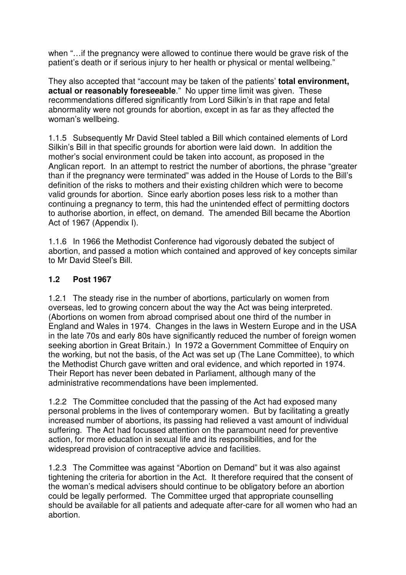when "…if the pregnancy were allowed to continue there would be grave risk of the patient's death or if serious injury to her health or physical or mental wellbeing."

They also accepted that "account may be taken of the patients' **total environment, actual or reasonably foreseeable**." No upper time limit was given. These recommendations differed significantly from Lord Silkin's in that rape and fetal abnormality were not grounds for abortion, except in as far as they affected the woman's wellbeing.

1.1.5 Subsequently Mr David Steel tabled a Bill which contained elements of Lord Silkin's Bill in that specific grounds for abortion were laid down. In addition the mother's social environment could be taken into account, as proposed in the Anglican report. In an attempt to restrict the number of abortions, the phrase "greater than if the pregnancy were terminated" was added in the House of Lords to the Bill's definition of the risks to mothers and their existing children which were to become valid grounds for abortion. Since early abortion poses less risk to a mother than continuing a pregnancy to term, this had the unintended effect of permitting doctors to authorise abortion, in effect, on demand. The amended Bill became the Abortion Act of 1967 (Appendix I).

1.1.6 In 1966 the Methodist Conference had vigorously debated the subject of abortion, and passed a motion which contained and approved of key concepts similar to Mr David Steel's Bill.

## **1.2 Post 1967**

1.2.1 The steady rise in the number of abortions, particularly on women from overseas, led to growing concern about the way the Act was being interpreted. (Abortions on women from abroad comprised about one third of the number in England and Wales in 1974. Changes in the laws in Western Europe and in the USA in the late 70s and early 80s have significantly reduced the number of foreign women seeking abortion in Great Britain.) In 1972 a Government Committee of Enquiry on the working, but not the basis, of the Act was set up (The Lane Committee), to which the Methodist Church gave written and oral evidence, and which reported in 1974. Their Report has never been debated in Parliament, although many of the administrative recommendations have been implemented.

1.2.2 The Committee concluded that the passing of the Act had exposed many personal problems in the lives of contemporary women. But by facilitating a greatly increased number of abortions, its passing had relieved a vast amount of individual suffering. The Act had focussed attention on the paramount need for preventive action, for more education in sexual life and its responsibilities, and for the widespread provision of contraceptive advice and facilities.

1.2.3 The Committee was against "Abortion on Demand" but it was also against tightening the criteria for abortion in the Act. It therefore required that the consent of the woman's medical advisers should continue to be obligatory before an abortion could be legally performed. The Committee urged that appropriate counselling should be available for all patients and adequate after-care for all women who had an abortion.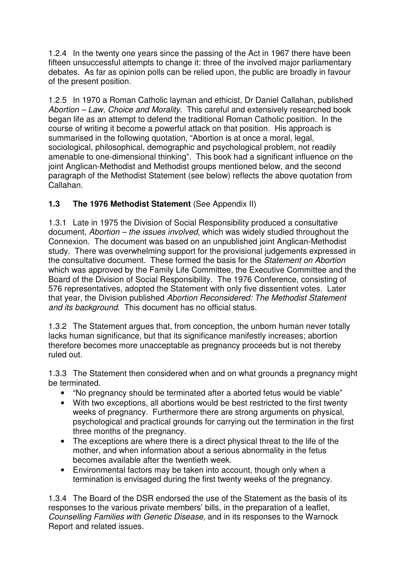1.2.4 In the twenty one years since the passing of the Act in 1967 there have been fifteen unsuccessful attempts to change it: three of the involved major parliamentary debates. As far as opinion polls can be relied upon, the public are broadly in favour of the present position.

1.2.5 In 1970 a Roman Catholic layman and ethicist, Dr Daniel Callahan, published Abortion – Law, Choice and Morality. This careful and extensively researched book began life as an attempt to defend the traditional Roman Catholic position. In the course of writing it become a powerful attack on that position. His approach is summarised in the following quotation, "Abortion is at once a moral, legal, sociological, philosophical, demographic and psychological problem, not readily amenable to one-dimensional thinking". This book had a significant influence on the joint Anglican-Methodist and Methodist groups mentioned below, and the second paragraph of the Methodist Statement (see below) reflects the above quotation from Callahan.

# **1.3 The 1976 Methodist Statement** (See Appendix II)

1.3.1 Late in 1975 the Division of Social Responsibility produced a consultative document, Abortion – the issues involved, which was widely studied throughout the Connexion. The document was based on an unpublished joint Anglican-Methodist study. There was overwhelming support for the provisional judgements expressed in the consultative document. These formed the basis for the Statement on Abortion which was approved by the Family Life Committee, the Executive Committee and the Board of the Division of Social Responsibility. The 1976 Conference, consisting of 576 representatives, adopted the Statement with only five dissentient votes. Later that year, the Division published Abortion Reconsidered: The Methodist Statement and its background. This document has no official status.

1.3.2 The Statement argues that, from conception, the unborn human never totally lacks human significance, but that its significance manifestly increases; abortion therefore becomes more unacceptable as pregnancy proceeds but is not thereby ruled out.

1.3.3 The Statement then considered when and on what grounds a pregnancy might be terminated.

- "No pregnancy should be terminated after a aborted fetus would be viable"
- With two exceptions, all abortions would be best restricted to the first twenty weeks of pregnancy. Furthermore there are strong arguments on physical, psychological and practical grounds for carrying out the termination in the first three months of the pregnancy.
- The exceptions are where there is a direct physical threat to the life of the mother, and when information about a serious abnormality in the fetus becomes available after the twentieth week.
- Environmental factors may be taken into account, though only when a termination is envisaged during the first twenty weeks of the pregnancy.

1.3.4 The Board of the DSR endorsed the use of the Statement as the basis of its responses to the various private members' bills, in the preparation of a leaflet, Counselling Families with Genetic Disease, and in its responses to the Warnock Report and related issues.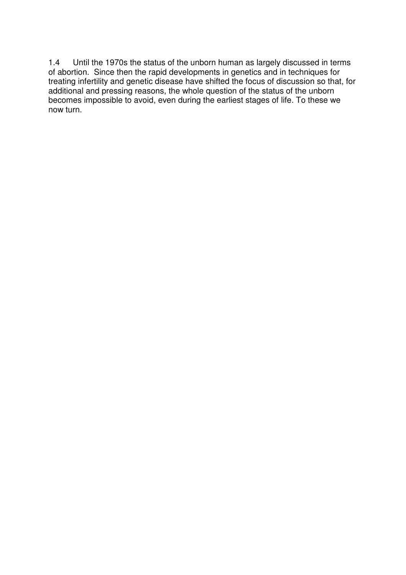1.4 Until the 1970s the status of the unborn human as largely discussed in terms of abortion. Since then the rapid developments in genetics and in techniques for treating infertility and genetic disease have shifted the focus of discussion so that, for additional and pressing reasons, the whole question of the status of the unborn becomes impossible to avoid, even during the earliest stages of life. To these we now turn.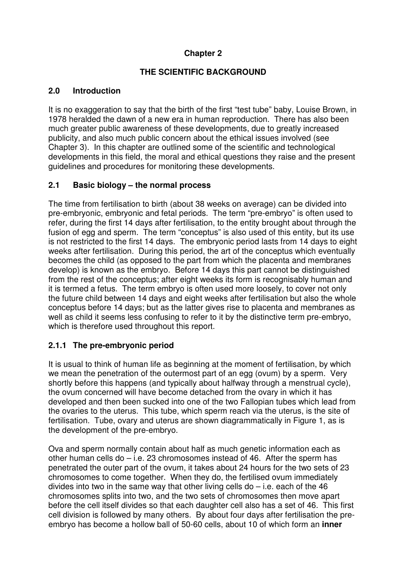# **Chapter 2**

### **THE SCIENTIFIC BACKGROUND**

### **2.0 Introduction**

It is no exaggeration to say that the birth of the first "test tube" baby, Louise Brown, in 1978 heralded the dawn of a new era in human reproduction. There has also been much greater public awareness of these developments, due to greatly increased publicity, and also much public concern about the ethical issues involved (see Chapter 3). In this chapter are outlined some of the scientific and technological developments in this field, the moral and ethical questions they raise and the present guidelines and procedures for monitoring these developments.

### **2.1 Basic biology – the normal process**

The time from fertilisation to birth (about 38 weeks on average) can be divided into pre-embryonic, embryonic and fetal periods. The term "pre-embryo" is often used to refer, during the first 14 days after fertilisation, to the entity brought about through the fusion of egg and sperm. The term "conceptus" is also used of this entity, but its use is not restricted to the first 14 days. The embryonic period lasts from 14 days to eight weeks after fertilisation. During this period, the art of the conceptus which eventually becomes the child (as opposed to the part from which the placenta and membranes develop) is known as the embryo. Before 14 days this part cannot be distinguished from the rest of the conceptus; after eight weeks its form is recognisably human and it is termed a fetus. The term embryo is often used more loosely, to cover not only the future child between 14 days and eight weeks after fertilisation but also the whole conceptus before 14 days; but as the latter gives rise to placenta and membranes as well as child it seems less confusing to refer to it by the distinctive term pre-embryo, which is therefore used throughout this report.

### **2.1.1 The pre-embryonic period**

It is usual to think of human life as beginning at the moment of fertilisation, by which we mean the penetration of the outermost part of an egg (ovum) by a sperm. Very shortly before this happens (and typically about halfway through a menstrual cycle), the ovum concerned will have become detached from the ovary in which it has developed and then been sucked into one of the two Fallopian tubes which lead from the ovaries to the uterus. This tube, which sperm reach via the uterus, is the site of fertilisation. Tube, ovary and uterus are shown diagrammatically in Figure 1, as is the development of the pre-embryo.

Ova and sperm normally contain about half as much genetic information each as other human cells do – i.e. 23 chromosomes instead of 46. After the sperm has penetrated the outer part of the ovum, it takes about 24 hours for the two sets of 23 chromosomes to come together. When they do, the fertilised ovum immediately divides into two in the same way that other living cells  $do - i.e.$  each of the 46 chromosomes splits into two, and the two sets of chromosomes then move apart before the cell itself divides so that each daughter cell also has a set of 46. This first cell division is followed by many others. By about four days after fertilisation the preembryo has become a hollow ball of 50-60 cells, about 10 of which form an **inner**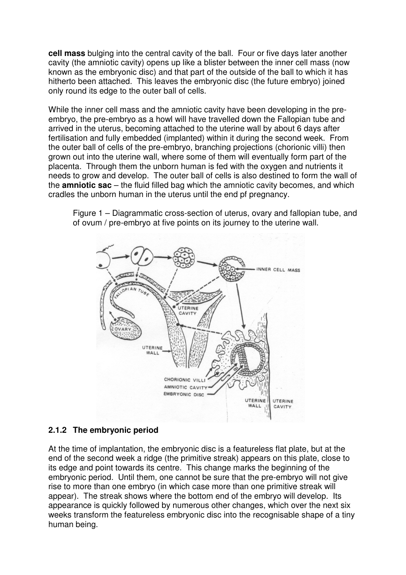**cell mass** bulging into the central cavity of the ball. Four or five days later another cavity (the amniotic cavity) opens up like a blister between the inner cell mass (now known as the embryonic disc) and that part of the outside of the ball to which it has hitherto been attached. This leaves the embryonic disc (the future embryo) joined only round its edge to the outer ball of cells.

While the inner cell mass and the amniotic cavity have been developing in the preembryo, the pre-embryo as a howl will have travelled down the Fallopian tube and arrived in the uterus, becoming attached to the uterine wall by about 6 days after fertilisation and fully embedded (implanted) within it during the second week. From the outer ball of cells of the pre-embryo, branching projections (chorionic villi) then grown out into the uterine wall, where some of them will eventually form part of the placenta. Through them the unborn human is fed with the oxygen and nutrients it needs to grow and develop. The outer ball of cells is also destined to form the wall of the **amniotic sac** – the fluid filled bag which the amniotic cavity becomes, and which cradles the unborn human in the uterus until the end pf pregnancy.

Figure 1 – Diagrammatic cross-section of uterus, ovary and fallopian tube, and of ovum / pre-embryo at five points on its journey to the uterine wall.



#### **2.1.2 The embryonic period**

At the time of implantation, the embryonic disc is a featureless flat plate, but at the end of the second week a ridge (the primitive streak) appears on this plate, close to its edge and point towards its centre. This change marks the beginning of the embryonic period. Until them, one cannot be sure that the pre-embryo will not give rise to more than one embryo (in which case more than one primitive streak will appear). The streak shows where the bottom end of the embryo will develop. Its appearance is quickly followed by numerous other changes, which over the next six weeks transform the featureless embryonic disc into the recognisable shape of a tiny human being.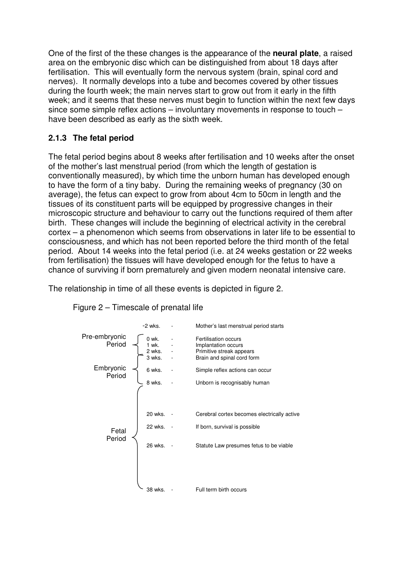One of the first of the these changes is the appearance of the **neural plate**, a raised area on the embryonic disc which can be distinguished from about 18 days after fertilisation. This will eventually form the nervous system (brain, spinal cord and nerves). It normally develops into a tube and becomes covered by other tissues during the fourth week; the main nerves start to grow out from it early in the fifth week; and it seems that these nerves must begin to function within the next few days since some simple reflex actions – involuntary movements in response to touch – have been described as early as the sixth week.

# **2.1.3 The fetal period**

The fetal period begins about 8 weeks after fertilisation and 10 weeks after the onset of the mother's last menstrual period (from which the length of gestation is conventionally measured), by which time the unborn human has developed enough to have the form of a tiny baby. During the remaining weeks of pregnancy (30 on average), the fetus can expect to grow from about 4cm to 50cm in length and the tissues of its constituent parts will be equipped by progressive changes in their microscopic structure and behaviour to carry out the functions required of them after birth. These changes will include the beginning of electrical activity in the cerebral cortex – a phenomenon which seems from observations in later life to be essential to consciousness, and which has not been reported before the third month of the fetal period. About 14 weeks into the fetal period (i.e. at 24 weeks gestation or 22 weeks from fertilisation) the tissues will have developed enough for the fetus to have a chance of surviving if born prematurely and given modern neonatal intensive care.

The relationship in time of all these events is depicted in figure 2.



### Figure 2 – Timescale of prenatal life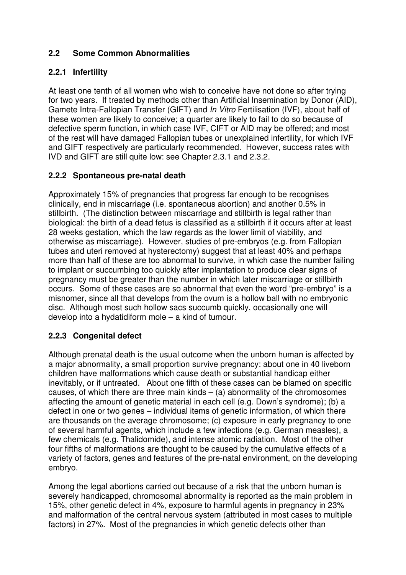# **2.2 Some Common Abnormalities**

# **2.2.1 Infertility**

At least one tenth of all women who wish to conceive have not done so after trying for two years. If treated by methods other than Artificial Insemination by Donor (AID), Gamete Intra-Fallopian Transfer (GIFT) and In Vitro Fertilisation (IVF), about half of these women are likely to conceive; a quarter are likely to fail to do so because of defective sperm function, in which case IVF, CIFT or AID may be offered; and most of the rest will have damaged Fallopian tubes or unexplained infertility, for which IVF and GIFT respectively are particularly recommended. However, success rates with IVD and GIFT are still quite low: see Chapter 2.3.1 and 2.3.2.

# **2.2.2 Spontaneous pre-natal death**

Approximately 15% of pregnancies that progress far enough to be recognises clinically, end in miscarriage (i.e. spontaneous abortion) and another 0.5% in stillbirth. (The distinction between miscarriage and stillbirth is legal rather than biological: the birth of a dead fetus is classified as a stillbirth if it occurs after at least 28 weeks gestation, which the law regards as the lower limit of viability, and otherwise as miscarriage). However, studies of pre-embryos (e.g. from Fallopian tubes and uteri removed at hysterectomy) suggest that at least 40% and perhaps more than half of these are too abnormal to survive, in which case the number failing to implant or succumbing too quickly after implantation to produce clear signs of pregnancy must be greater than the number in which later miscarriage or stillbirth occurs. Some of these cases are so abnormal that even the word "pre-embryo" is a misnomer, since all that develops from the ovum is a hollow ball with no embryonic disc. Although most such hollow sacs succumb quickly, occasionally one will develop into a hydatidiform mole – a kind of tumour.

# **2.2.3 Congenital defect**

Although prenatal death is the usual outcome when the unborn human is affected by a major abnormality, a small proportion survive pregnancy: about one in 40 liveborn children have malformations which cause death or substantial handicap either inevitably, or if untreated. About one fifth of these cases can be blamed on specific causes, of which there are three main kinds  $-$  (a) abnormality of the chromosomes affecting the amount of genetic material in each cell (e.g. Down's syndrome); (b) a defect in one or two genes – individual items of genetic information, of which there are thousands on the average chromosome; (c) exposure in early pregnancy to one of several harmful agents, which include a few infections (e.g. German measles), a few chemicals (e.g. Thalidomide), and intense atomic radiation. Most of the other four fifths of malformations are thought to be caused by the cumulative effects of a variety of factors, genes and features of the pre-natal environment, on the developing embryo.

Among the legal abortions carried out because of a risk that the unborn human is severely handicapped, chromosomal abnormality is reported as the main problem in 15%, other genetic defect in 4%, exposure to harmful agents in pregnancy in 23% and malformation of the central nervous system (attributed in most cases to multiple factors) in 27%. Most of the pregnancies in which genetic defects other than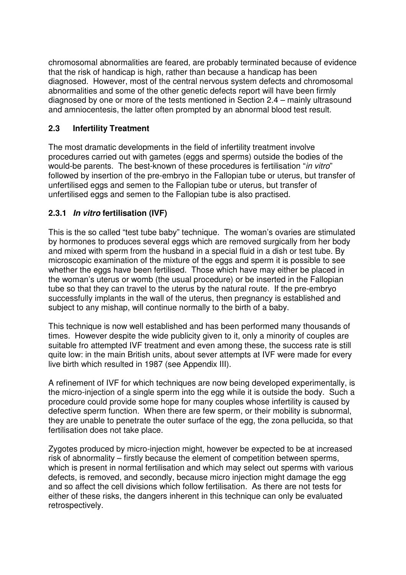chromosomal abnormalities are feared, are probably terminated because of evidence that the risk of handicap is high, rather than because a handicap has been diagnosed. However, most of the central nervous system defects and chromosomal abnormalities and some of the other genetic defects report will have been firmly diagnosed by one or more of the tests mentioned in Section 2.4 – mainly ultrasound and amniocentesis, the latter often prompted by an abnormal blood test result.

# **2.3 Infertility Treatment**

The most dramatic developments in the field of infertility treatment involve procedures carried out with gametes (eggs and sperms) outside the bodies of the would-be parents. The best-known of these procedures is fertilisation "in vitro" followed by insertion of the pre-embryo in the Fallopian tube or uterus, but transfer of unfertilised eggs and semen to the Fallopian tube or uterus, but transfer of unfertilised eggs and semen to the Fallopian tube is also practised.

# **2.3.1 In vitro fertilisation (IVF)**

This is the so called "test tube baby" technique. The woman's ovaries are stimulated by hormones to produces several eggs which are removed surgically from her body and mixed with sperm from the husband in a special fluid in a dish or test tube. By microscopic examination of the mixture of the eggs and sperm it is possible to see whether the eggs have been fertilised. Those which have may either be placed in the woman's uterus or womb (the usual procedure) or be inserted in the Fallopian tube so that they can travel to the uterus by the natural route. If the pre-embryo successfully implants in the wall of the uterus, then pregnancy is established and subject to any mishap, will continue normally to the birth of a baby.

This technique is now well established and has been performed many thousands of times. However despite the wide publicity given to it, only a minority of couples are suitable fro attempted IVF treatment and even among these, the success rate is still quite low: in the main British units, about sever attempts at IVF were made for every live birth which resulted in 1987 (see Appendix III).

A refinement of IVF for which techniques are now being developed experimentally, is the micro-injection of a single sperm into the egg while it is outside the body. Such a procedure could provide some hope for many couples whose infertility is caused by defective sperm function. When there are few sperm, or their mobility is subnormal, they are unable to penetrate the outer surface of the egg, the zona pellucida, so that fertilisation does not take place.

Zygotes produced by micro-injection might, however be expected to be at increased risk of abnormality – firstly because the element of competition between sperms, which is present in normal fertilisation and which may select out sperms with various defects, is removed, and secondly, because micro injection might damage the egg and so affect the cell divisions which follow fertilisation. As there are not tests for either of these risks, the dangers inherent in this technique can only be evaluated retrospectively.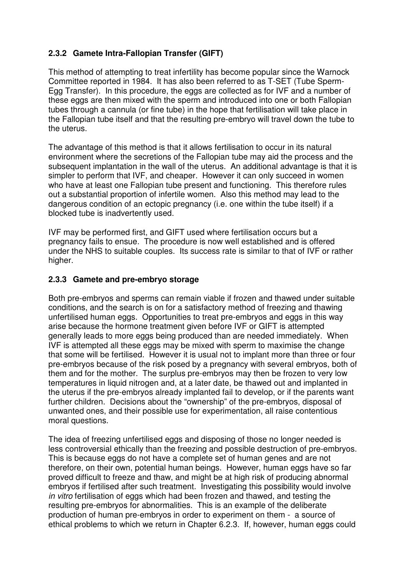# **2.3.2 Gamete Intra-Fallopian Transfer (GIFT)**

This method of attempting to treat infertility has become popular since the Warnock Committee reported in 1984. It has also been referred to as T-SET (Tube Sperm-Egg Transfer). In this procedure, the eggs are collected as for IVF and a number of these eggs are then mixed with the sperm and introduced into one or both Fallopian tubes through a cannula (or fine tube) in the hope that fertilisation will take place in the Fallopian tube itself and that the resulting pre-embryo will travel down the tube to the uterus.

The advantage of this method is that it allows fertilisation to occur in its natural environment where the secretions of the Fallopian tube may aid the process and the subsequent implantation in the wall of the uterus. An additional advantage is that it is simpler to perform that IVF, and cheaper. However it can only succeed in women who have at least one Fallopian tube present and functioning. This therefore rules out a substantial proportion of infertile women. Also this method may lead to the dangerous condition of an ectopic pregnancy (i.e. one within the tube itself) if a blocked tube is inadvertently used.

IVF may be performed first, and GIFT used where fertilisation occurs but a pregnancy fails to ensue. The procedure is now well established and is offered under the NHS to suitable couples. Its success rate is similar to that of IVF or rather higher.

## **2.3.3 Gamete and pre-embryo storage**

Both pre-embryos and sperms can remain viable if frozen and thawed under suitable conditions, and the search is on for a satisfactory method of freezing and thawing unfertilised human eggs. Opportunities to treat pre-embryos and eggs in this way arise because the hormone treatment given before IVF or GIFT is attempted generally leads to more eggs being produced than are needed immediately. When IVF is attempted all these eggs may be mixed with sperm to maximise the change that some will be fertilised. However it is usual not to implant more than three or four pre-embryos because of the risk posed by a pregnancy with several embryos, both of them and for the mother. The surplus pre-embryos may then be frozen to very low temperatures in liquid nitrogen and, at a later date, be thawed out and implanted in the uterus if the pre-embryos already implanted fail to develop, or if the parents want further children. Decisions about the "ownership" of the pre-embryos, disposal of unwanted ones, and their possible use for experimentation, all raise contentious moral questions.

The idea of freezing unfertilised eggs and disposing of those no longer needed is less controversial ethically than the freezing and possible destruction of pre-embryos. This is because eggs do not have a complete set of human genes and are not therefore, on their own, potential human beings. However, human eggs have so far proved difficult to freeze and thaw, and might be at high risk of producing abnormal embryos if fertilised after such treatment. Investigating this possibility would involve in vitro fertilisation of eggs which had been frozen and thawed, and testing the resulting pre-embryos for abnormalities. This is an example of the deliberate production of human pre-embryos in order to experiment on them - a source of ethical problems to which we return in Chapter 6.2.3. If, however, human eggs could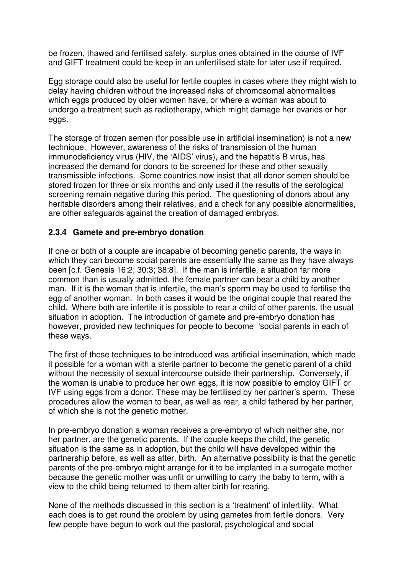be frozen, thawed and fertilised safely, surplus ones obtained in the course of IVF and GIFT treatment could be keep in an unfertilised state for later use if required.

Egg storage could also be useful for fertile couples in cases where they might wish to delay having children without the increased risks of chromosomal abnormalities which eggs produced by older women have, or where a woman was about to undergo a treatment such as radiotherapy, which might damage her ovaries or her eggs.

The storage of frozen semen (for possible use in artificial insemination) is not a new technique. However, awareness of the risks of transmission of the human immunodeficiency virus (HIV, the 'AIDS' virus), and the hepatitis B virus, has increased the demand for donors to be screened for these and other sexually transmissible infections. Some countries now insist that all donor semen should be stored frozen for three or six months and only used if the results of the serological screening remain negative during this period. The questioning of donors about any heritable disorders among their relatives, and a check for any possible abnormalities, are other safeguards against the creation of damaged embryos.

### **2.3.4 Gamete and pre-embryo donation**

If one or both of a couple are incapable of becoming genetic parents, the ways in which they can become social parents are essentially the same as they have always been [c.f. Genesis 16:2; 30:3; 38:8]. If the man is infertile, a situation far more common than is usually admitted, the female partner can bear a child by another man. If it is the woman that is infertile, the man's sperm may be used to fertilise the egg of another woman. In both cases it would be the original couple that reared the child. Where both are infertile it is possible to rear a child of other parents, the usual situation in adoption. The introduction of gamete and pre-embryo donation has however, provided new techniques for people to become 'social parents in each of these ways.

The first of these techniques to be introduced was artificial insemination, which made it possible for a woman with a sterile partner to become the genetic parent of a child without the necessity of sexual intercourse outside their partnership. Conversely, if the woman is unable to produce her own eggs, it is now possible to employ GIFT or IVF using eggs from a donor. These may be fertilised by her partner's sperm. These procedures allow the woman to bear, as well as rear, a child fathered by her partner, of which she is not the genetic mother.

In pre-embryo donation a woman receives a pre-embryo of which neither she, nor her partner, are the genetic parents. If the couple keeps the child, the genetic situation is the same as in adoption, but the child will have developed within the partnership before, as well as after, birth. An alternative possibility is that the genetic parents of the pre-embryo might arrange for it to be implanted in a surrogate mother because the genetic mother was unfit or unwilling to carry the baby to term, with a view to the child being returned to them after birth for rearing.

None of the methods discussed in this section is a 'treatment' of infertility. What each does is to get round the problem by using gametes from fertile donors. Very few people have begun to work out the pastoral, psychological and social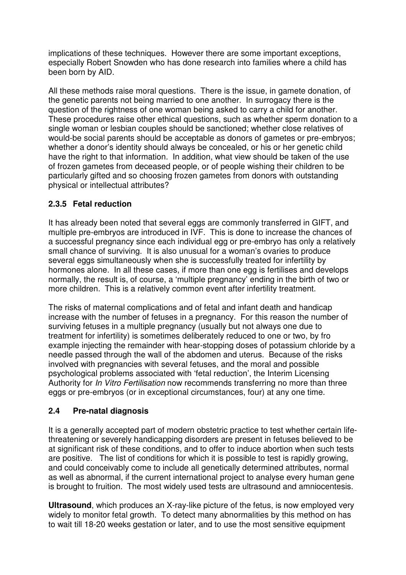implications of these techniques. However there are some important exceptions, especially Robert Snowden who has done research into families where a child has been born by AID.

All these methods raise moral questions. There is the issue, in gamete donation, of the genetic parents not being married to one another. In surrogacy there is the question of the rightness of one woman being asked to carry a child for another. These procedures raise other ethical questions, such as whether sperm donation to a single woman or lesbian couples should be sanctioned; whether close relatives of would-be social parents should be acceptable as donors of gametes or pre-embryos; whether a donor's identity should always be concealed, or his or her genetic child have the right to that information. In addition, what view should be taken of the use of frozen gametes from deceased people, or of people wishing their children to be particularly gifted and so choosing frozen gametes from donors with outstanding physical or intellectual attributes?

# **2.3.5 Fetal reduction**

It has already been noted that several eggs are commonly transferred in GIFT, and multiple pre-embryos are introduced in IVF. This is done to increase the chances of a successful pregnancy since each individual egg or pre-embryo has only a relatively small chance of surviving. It is also unusual for a woman's ovaries to produce several eggs simultaneously when she is successfully treated for infertility by hormones alone. In all these cases, if more than one egg is fertilises and develops normally, the result is, of course, a 'multiple pregnancy' ending in the birth of two or more children. This is a relatively common event after infertility treatment.

The risks of maternal complications and of fetal and infant death and handicap increase with the number of fetuses in a pregnancy. For this reason the number of surviving fetuses in a multiple pregnancy (usually but not always one due to treatment for infertility) is sometimes deliberately reduced to one or two, by fro example injecting the remainder with hear-stopping doses of potassium chloride by a needle passed through the wall of the abdomen and uterus. Because of the risks involved with pregnancies with several fetuses, and the moral and possible psychological problems associated with 'fetal reduction', the Interim Licensing Authority for *In Vitro Fertilisation* now recommends transferring no more than three eggs or pre-embryos (or in exceptional circumstances, four) at any one time.

### **2.4 Pre-natal diagnosis**

It is a generally accepted part of modern obstetric practice to test whether certain lifethreatening or severely handicapping disorders are present in fetuses believed to be at significant risk of these conditions, and to offer to induce abortion when such tests are positive. The list of conditions for which it is possible to test is rapidly growing, and could conceivably come to include all genetically determined attributes, normal as well as abnormal, if the current international project to analyse every human gene is brought to fruition. The most widely used tests are ultrasound and amniocentesis.

**Ultrasound**, which produces an X-ray-like picture of the fetus, is now employed very widely to monitor fetal growth. To detect many abnormalities by this method on has to wait till 18-20 weeks gestation or later, and to use the most sensitive equipment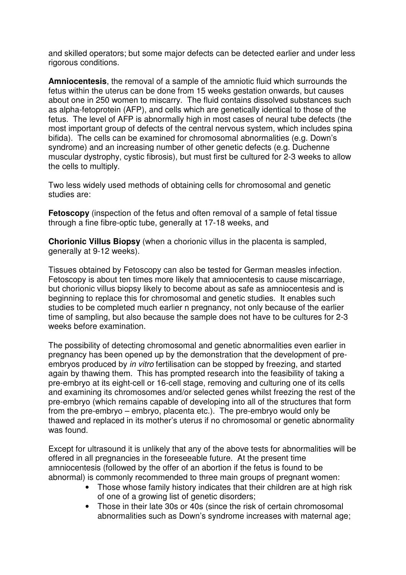and skilled operators; but some major defects can be detected earlier and under less rigorous conditions.

**Amniocentesis**, the removal of a sample of the amniotic fluid which surrounds the fetus within the uterus can be done from 15 weeks gestation onwards, but causes about one in 250 women to miscarry. The fluid contains dissolved substances such as alpha-fetoprotein (AFP), and cells which are genetically identical to those of the fetus. The level of AFP is abnormally high in most cases of neural tube defects (the most important group of defects of the central nervous system, which includes spina bifida). The cells can be examined for chromosomal abnormalities (e.g. Down's syndrome) and an increasing number of other genetic defects (e.g. Duchenne muscular dystrophy, cystic fibrosis), but must first be cultured for 2-3 weeks to allow the cells to multiply.

Two less widely used methods of obtaining cells for chromosomal and genetic studies are:

**Fetoscopy** (inspection of the fetus and often removal of a sample of fetal tissue through a fine fibre-optic tube, generally at 17-18 weeks, and

**Chorionic Villus Biopsy** (when a chorionic villus in the placenta is sampled, generally at 9-12 weeks).

Tissues obtained by Fetoscopy can also be tested for German measles infection. Fetoscopy is about ten times more likely that amniocentesis to cause miscarriage, but chorionic villus biopsy likely to become about as safe as amniocentesis and is beginning to replace this for chromosomal and genetic studies. It enables such studies to be completed much earlier n pregnancy, not only because of the earlier time of sampling, but also because the sample does not have to be cultures for 2-3 weeks before examination.

The possibility of detecting chromosomal and genetic abnormalities even earlier in pregnancy has been opened up by the demonstration that the development of preembryos produced by in vitro fertilisation can be stopped by freezing, and started again by thawing them. This has prompted research into the feasibility of taking a pre-embryo at its eight-cell or 16-cell stage, removing and culturing one of its cells and examining its chromosomes and/or selected genes whilst freezing the rest of the pre-embryo (which remains capable of developing into all of the structures that form from the pre-embryo – embryo, placenta etc.). The pre-embryo would only be thawed and replaced in its mother's uterus if no chromosomal or genetic abnormality was found.

Except for ultrasound it is unlikely that any of the above tests for abnormalities will be offered in all pregnancies in the foreseeable future. At the present time amniocentesis (followed by the offer of an abortion if the fetus is found to be abnormal) is commonly recommended to three main groups of pregnant women:

- Those whose family history indicates that their children are at high risk of one of a growing list of genetic disorders;
- Those in their late 30s or 40s (since the risk of certain chromosomal abnormalities such as Down's syndrome increases with maternal age;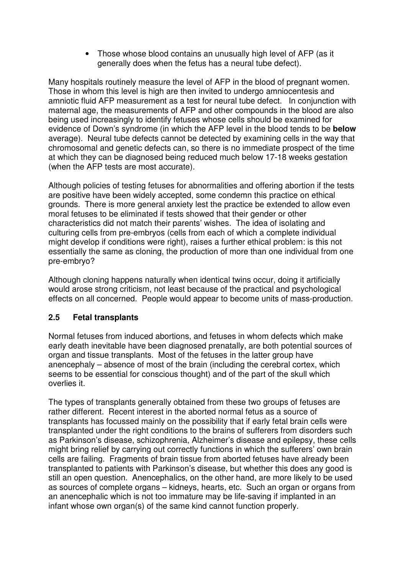• Those whose blood contains an unusually high level of AFP (as it generally does when the fetus has a neural tube defect).

Many hospitals routinely measure the level of AFP in the blood of pregnant women. Those in whom this level is high are then invited to undergo amniocentesis and amniotic fluid AFP measurement as a test for neural tube defect. In conjunction with maternal age, the measurements of AFP and other compounds in the blood are also being used increasingly to identify fetuses whose cells should be examined for evidence of Down's syndrome (in which the AFP level in the blood tends to be **below** average). Neural tube defects cannot be detected by examining cells in the way that chromosomal and genetic defects can, so there is no immediate prospect of the time at which they can be diagnosed being reduced much below 17-18 weeks gestation (when the AFP tests are most accurate).

Although policies of testing fetuses for abnormalities and offering abortion if the tests are positive have been widely accepted, some condemn this practice on ethical grounds. There is more general anxiety lest the practice be extended to allow even moral fetuses to be eliminated if tests showed that their gender or other characteristics did not match their parents' wishes. The idea of isolating and culturing cells from pre-embryos (cells from each of which a complete individual might develop if conditions were right), raises a further ethical problem: is this not essentially the same as cloning, the production of more than one individual from one pre-embryo?

Although cloning happens naturally when identical twins occur, doing it artificially would arose strong criticism, not least because of the practical and psychological effects on all concerned. People would appear to become units of mass-production.

### **2.5 Fetal transplants**

Normal fetuses from induced abortions, and fetuses in whom defects which make early death inevitable have been diagnosed prenatally, are both potential sources of organ and tissue transplants. Most of the fetuses in the latter group have anencephaly – absence of most of the brain (including the cerebral cortex, which seems to be essential for conscious thought) and of the part of the skull which overlies it.

The types of transplants generally obtained from these two groups of fetuses are rather different. Recent interest in the aborted normal fetus as a source of transplants has focussed mainly on the possibility that if early fetal brain cells were transplanted under the right conditions to the brains of sufferers from disorders such as Parkinson's disease, schizophrenia, Alzheimer's disease and epilepsy, these cells might bring relief by carrying out correctly functions in which the sufferers' own brain cells are failing. Fragments of brain tissue from aborted fetuses have already been transplanted to patients with Parkinson's disease, but whether this does any good is still an open question. Anencephalics, on the other hand, are more likely to be used as sources of complete organs – kidneys, hearts, etc. Such an organ or organs from an anencephalic which is not too immature may be life-saving if implanted in an infant whose own organ(s) of the same kind cannot function properly.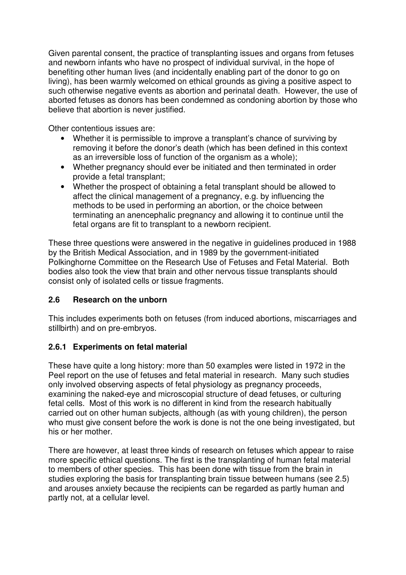Given parental consent, the practice of transplanting issues and organs from fetuses and newborn infants who have no prospect of individual survival, in the hope of benefiting other human lives (and incidentally enabling part of the donor to go on living), has been warmly welcomed on ethical grounds as giving a positive aspect to such otherwise negative events as abortion and perinatal death. However, the use of aborted fetuses as donors has been condemned as condoning abortion by those who believe that abortion is never justified.

Other contentious issues are:

- Whether it is permissible to improve a transplant's chance of surviving by removing it before the donor's death (which has been defined in this context as an irreversible loss of function of the organism as a whole);
- Whether pregnancy should ever be initiated and then terminated in order provide a fetal transplant;
- Whether the prospect of obtaining a fetal transplant should be allowed to affect the clinical management of a pregnancy, e.g. by influencing the methods to be used in performing an abortion, or the choice between terminating an anencephalic pregnancy and allowing it to continue until the fetal organs are fit to transplant to a newborn recipient.

These three questions were answered in the negative in guidelines produced in 1988 by the British Medical Association, and in 1989 by the government-initiated Polkinghorne Committee on the Research Use of Fetuses and Fetal Material. Both bodies also took the view that brain and other nervous tissue transplants should consist only of isolated cells or tissue fragments.

### **2.6 Research on the unborn**

This includes experiments both on fetuses (from induced abortions, miscarriages and stillbirth) and on pre-embryos.

### **2.6.1 Experiments on fetal material**

These have quite a long history: more than 50 examples were listed in 1972 in the Peel report on the use of fetuses and fetal material in research. Many such studies only involved observing aspects of fetal physiology as pregnancy proceeds, examining the naked-eye and microscopial structure of dead fetuses, or culturing fetal cells. Most of this work is no different in kind from the research habitually carried out on other human subjects, although (as with young children), the person who must give consent before the work is done is not the one being investigated, but his or her mother.

There are however, at least three kinds of research on fetuses which appear to raise more specific ethical questions. The first is the transplanting of human fetal material to members of other species. This has been done with tissue from the brain in studies exploring the basis for transplanting brain tissue between humans (see 2.5) and arouses anxiety because the recipients can be regarded as partly human and partly not, at a cellular level.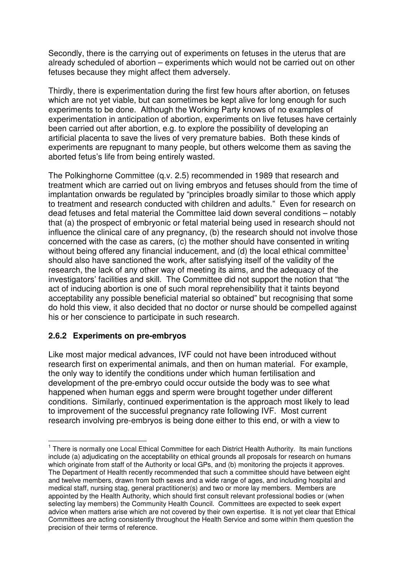Secondly, there is the carrying out of experiments on fetuses in the uterus that are already scheduled of abortion – experiments which would not be carried out on other fetuses because they might affect them adversely.

Thirdly, there is experimentation during the first few hours after abortion, on fetuses which are not yet viable, but can sometimes be kept alive for long enough for such experiments to be done. Although the Working Party knows of no examples of experimentation in anticipation of abortion, experiments on live fetuses have certainly been carried out after abortion, e.g. to explore the possibility of developing an artificial placenta to save the lives of very premature babies. Both these kinds of experiments are repugnant to many people, but others welcome them as saving the aborted fetus's life from being entirely wasted.

The Polkinghorne Committee (q.v. 2.5) recommended in 1989 that research and treatment which are carried out on living embryos and fetuses should from the time of implantation onwards be regulated by "principles broadly similar to those which apply to treatment and research conducted with children and adults." Even for research on dead fetuses and fetal material the Committee laid down several conditions – notably that (a) the prospect of embryonic or fetal material being used in research should not influence the clinical care of any pregnancy, (b) the research should not involve those concerned with the case as carers, (c) the mother should have consented in writing without being offered any financial inducement, and (d) the local ethical committee<sup>1</sup> should also have sanctioned the work, after satisfying itself of the validity of the research, the lack of any other way of meeting its aims, and the adequacy of the investigators' facilities and skill. The Committee did not support the notion that "the act of inducing abortion is one of such moral reprehensibility that it taints beyond acceptability any possible beneficial material so obtained" but recognising that some do hold this view, it also decided that no doctor or nurse should be compelled against his or her conscience to participate in such research.

### **2.6.2 Experiments on pre-embryos**

 $\overline{a}$ 

Like most major medical advances, IVF could not have been introduced without research first on experimental animals, and then on human material. For example, the only way to identify the conditions under which human fertilisation and development of the pre-embryo could occur outside the body was to see what happened when human eggs and sperm were brought together under different conditions. Similarly, continued experimentation is the approach most likely to lead to improvement of the successful pregnancy rate following IVF. Most current research involving pre-embryos is being done either to this end, or with a view to

<sup>&</sup>lt;sup>1</sup> There is normally one Local Ethical Committee for each District Health Authority. Its main functions include (a) adjudicating on the acceptability on ethical grounds all proposals for research on humans which originate from staff of the Authority or local GPs, and (b) monitoring the projects it approves. The Department of Health recently recommended that such a committee should have between eight and twelve members, drawn from both sexes and a wide range of ages, and including hospital and medical staff, nursing stag, general practitioner(s) and two or more lay members. Members are appointed by the Health Authority, which should first consult relevant professional bodies or (when selecting lay members) the Community Health Council. Committees are expected to seek expert advice when matters arise which are not covered by their own expertise. It is not yet clear that Ethical Committees are acting consistently throughout the Health Service and some within them question the precision of their terms of reference.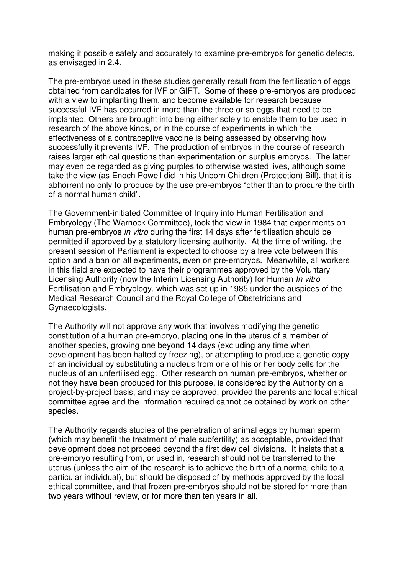making it possible safely and accurately to examine pre-embryos for genetic defects, as envisaged in 2.4.

The pre-embryos used in these studies generally result from the fertilisation of eggs obtained from candidates for IVF or GIFT. Some of these pre-embryos are produced with a view to implanting them, and become available for research because successful IVF has occurred in more than the three or so eggs that need to be implanted. Others are brought into being either solely to enable them to be used in research of the above kinds, or in the course of experiments in which the effectiveness of a contraceptive vaccine is being assessed by observing how successfully it prevents IVF. The production of embryos in the course of research raises larger ethical questions than experimentation on surplus embryos. The latter may even be regarded as giving purples to otherwise wasted lives, although some take the view (as Enoch Powell did in his Unborn Children (Protection) Bill), that it is abhorrent no only to produce by the use pre-embryos "other than to procure the birth of a normal human child".

The Government-initiated Committee of Inquiry into Human Fertilisation and Embryology (The Warnock Committee), took the view in 1984 that experiments on human pre-embryos in vitro during the first 14 days after fertilisation should be permitted if approved by a statutory licensing authority. At the time of writing, the present session of Parliament is expected to choose by a free vote between this option and a ban on all experiments, even on pre-embryos. Meanwhile, all workers in this field are expected to have their programmes approved by the Voluntary Licensing Authority (now the Interim Licensing Authority) for Human In vitro Fertilisation and Embryology, which was set up in 1985 under the auspices of the Medical Research Council and the Royal College of Obstetricians and Gynaecologists.

The Authority will not approve any work that involves modifying the genetic constitution of a human pre-embryo, placing one in the uterus of a member of another species, growing one beyond 14 days (excluding any time when development has been halted by freezing), or attempting to produce a genetic copy of an individual by substituting a nucleus from one of his or her body cells for the nucleus of an unfertilised egg. Other research on human pre-embryos, whether or not they have been produced for this purpose, is considered by the Authority on a project-by-project basis, and may be approved, provided the parents and local ethical committee agree and the information required cannot be obtained by work on other species.

The Authority regards studies of the penetration of animal eggs by human sperm (which may benefit the treatment of male subfertility) as acceptable, provided that development does not proceed beyond the first dew cell divisions. It insists that a pre-embryo resulting from, or used in, research should not be transferred to the uterus (unless the aim of the research is to achieve the birth of a normal child to a particular individual), but should be disposed of by methods approved by the local ethical committee, and that frozen pre-embryos should not be stored for more than two years without review, or for more than ten years in all.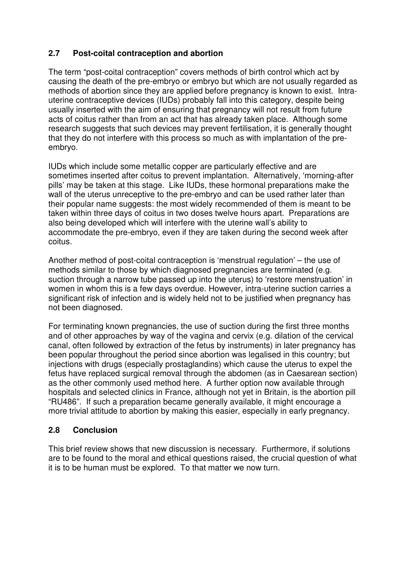# **2.7 Post-coital contraception and abortion**

The term "post-coital contraception" covers methods of birth control which act by causing the death of the pre-embryo or embryo but which are not usually regarded as methods of abortion since they are applied before pregnancy is known to exist. Intrauterine contraceptive devices (IUDs) probably fall into this category, despite being usually inserted with the aim of ensuring that pregnancy will not result from future acts of coitus rather than from an act that has already taken place. Although some research suggests that such devices may prevent fertilisation, it is generally thought that they do not interfere with this process so much as with implantation of the preembryo.

IUDs which include some metallic copper are particularly effective and are sometimes inserted after coitus to prevent implantation. Alternatively, 'morning-after pills' may be taken at this stage. Like IUDs, these hormonal preparations make the wall of the uterus unreceptive to the pre-embryo and can be used rather later than their popular name suggests: the most widely recommended of them is meant to be taken within three days of coitus in two doses twelve hours apart. Preparations are also being developed which will interfere with the uterine wall's ability to accommodate the pre-embryo, even if they are taken during the second week after coitus.

Another method of post-coital contraception is 'menstrual regulation' – the use of methods similar to those by which diagnosed pregnancies are terminated (e.g. suction through a narrow tube passed up into the uterus) to 'restore menstruation' in women in whom this is a few days overdue. However, intra-uterine suction carries a significant risk of infection and is widely held not to be justified when pregnancy has not been diagnosed.

For terminating known pregnancies, the use of suction during the first three months and of other approaches by way of the vagina and cervix (e.g. dilation of the cervical canal, often followed by extraction of the fetus by instruments) in later pregnancy has been popular throughout the period since abortion was legalised in this country; but injections with drugs (especially prostaglandins) which cause the uterus to expel the fetus have replaced surgical removal through the abdomen (as in Caesarean section) as the other commonly used method here. A further option now available through hospitals and selected clinics in France, although not yet in Britain, is the abortion pill "RU486". If such a preparation became generally available, it might encourage a more trivial attitude to abortion by making this easier, especially in early pregnancy.

### **2.8 Conclusion**

This brief review shows that new discussion is necessary. Furthermore, if solutions are to be found to the moral and ethical questions raised, the crucial question of what it is to be human must be explored. To that matter we now turn.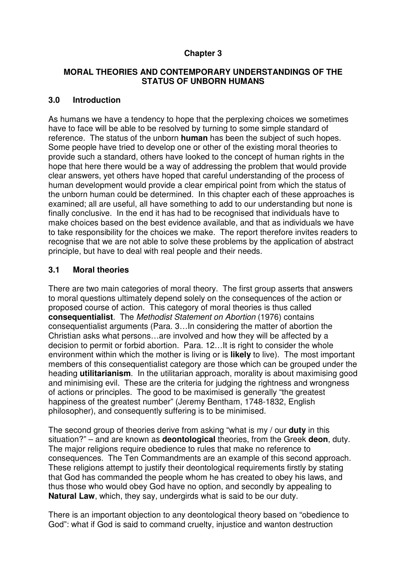### **Chapter 3**

#### **MORAL THEORIES AND CONTEMPORARY UNDERSTANDINGS OF THE STATUS OF UNBORN HUMANS**

#### **3.0 Introduction**

As humans we have a tendency to hope that the perplexing choices we sometimes have to face will be able to be resolved by turning to some simple standard of reference. The status of the unborn **human** has been the subject of such hopes. Some people have tried to develop one or other of the existing moral theories to provide such a standard, others have looked to the concept of human rights in the hope that here there would be a way of addressing the problem that would provide clear answers, yet others have hoped that careful understanding of the process of human development would provide a clear empirical point from which the status of the unborn human could be determined. In this chapter each of these approaches is examined; all are useful, all have something to add to our understanding but none is finally conclusive. In the end it has had to be recognised that individuals have to make choices based on the best evidence available, and that as individuals we have to take responsibility for the choices we make. The report therefore invites readers to recognise that we are not able to solve these problems by the application of abstract principle, but have to deal with real people and their needs.

### **3.1 Moral theories**

There are two main categories of moral theory. The first group asserts that answers to moral questions ultimately depend solely on the consequences of the action or proposed course of action. This category of moral theories is thus called **consequentialist**. The Methodist Statement on Abortion (1976) contains consequentialist arguments (Para. 3…In considering the matter of abortion the Christian asks what persons…are involved and how they will be affected by a decision to permit or forbid abortion. Para. 12…It is right to consider the whole environment within which the mother is living or is **likely** to live). The most important members of this consequentialist category are those which can be grouped under the heading **utilitarianism**. In the utilitarian approach, morality is about maximising good and minimising evil. These are the criteria for judging the rightness and wrongness of actions or principles. The good to be maximised is generally "the greatest happiness of the greatest number" (Jeremy Bentham, 1748-1832, English philosopher), and consequently suffering is to be minimised.

The second group of theories derive from asking "what is my / our **duty** in this situation?" – and are known as **deontological** theories, from the Greek **deon**, duty. The major religions require obedience to rules that make no reference to consequences. The Ten Commandments are an example of this second approach. These religions attempt to justify their deontological requirements firstly by stating that God has commanded the people whom he has created to obey his laws, and thus those who would obey God have no option, and secondly by appealing to **Natural Law**, which, they say, undergirds what is said to be our duty.

There is an important objection to any deontological theory based on "obedience to God": what if God is said to command cruelty, injustice and wanton destruction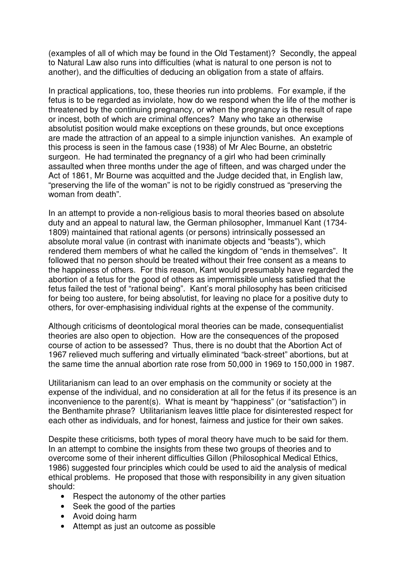(examples of all of which may be found in the Old Testament)? Secondly, the appeal to Natural Law also runs into difficulties (what is natural to one person is not to another), and the difficulties of deducing an obligation from a state of affairs.

In practical applications, too, these theories run into problems. For example, if the fetus is to be regarded as inviolate, how do we respond when the life of the mother is threatened by the continuing pregnancy, or when the pregnancy is the result of rape or incest, both of which are criminal offences? Many who take an otherwise absolutist position would make exceptions on these grounds, but once exceptions are made the attraction of an appeal to a simple injunction vanishes. An example of this process is seen in the famous case (1938) of Mr Alec Bourne, an obstetric surgeon. He had terminated the pregnancy of a girl who had been criminally assaulted when three months under the age of fifteen, and was charged under the Act of 1861, Mr Bourne was acquitted and the Judge decided that, in English law, "preserving the life of the woman" is not to be rigidly construed as "preserving the woman from death".

In an attempt to provide a non-religious basis to moral theories based on absolute duty and an appeal to natural law, the German philosopher, Immanuel Kant (1734- 1809) maintained that rational agents (or persons) intrinsically possessed an absolute moral value (in contrast with inanimate objects and "beasts"), which rendered them members of what he called the kingdom of "ends in themselves". It followed that no person should be treated without their free consent as a means to the happiness of others. For this reason, Kant would presumably have regarded the abortion of a fetus for the good of others as impermissible unless satisfied that the fetus failed the test of "rational being". Kant's moral philosophy has been criticised for being too austere, for being absolutist, for leaving no place for a positive duty to others, for over-emphasising individual rights at the expense of the community.

Although criticisms of deontological moral theories can be made, consequentialist theories are also open to objection. How are the consequences of the proposed course of action to be assessed? Thus, there is no doubt that the Abortion Act of 1967 relieved much suffering and virtually eliminated "back-street" abortions, but at the same time the annual abortion rate rose from 50,000 in 1969 to 150,000 in 1987.

Utilitarianism can lead to an over emphasis on the community or society at the expense of the individual, and no consideration at all for the fetus if its presence is an inconvenience to the parent(s). What is meant by "happiness" (or "satisfaction") in the Benthamite phrase? Utilitarianism leaves little place for disinterested respect for each other as individuals, and for honest, fairness and justice for their own sakes.

Despite these criticisms, both types of moral theory have much to be said for them. In an attempt to combine the insights from these two groups of theories and to overcome some of their inherent difficulties Gillon (Philosophical Medical Ethics, 1986) suggested four principles which could be used to aid the analysis of medical ethical problems. He proposed that those with responsibility in any given situation should:

- Respect the autonomy of the other parties
- Seek the good of the parties
- Avoid doing harm
- Attempt as just an outcome as possible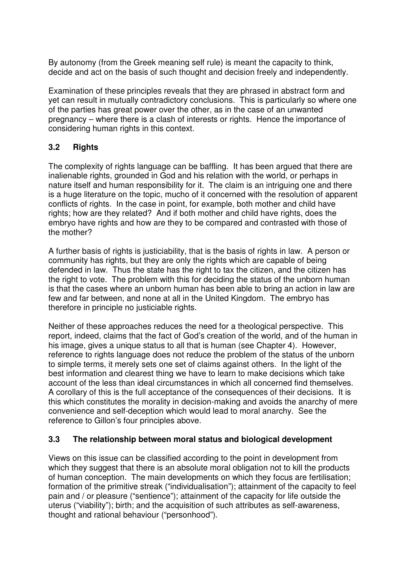By autonomy (from the Greek meaning self rule) is meant the capacity to think, decide and act on the basis of such thought and decision freely and independently.

Examination of these principles reveals that they are phrased in abstract form and yet can result in mutually contradictory conclusions. This is particularly so where one of the parties has great power over the other, as in the case of an unwanted pregnancy – where there is a clash of interests or rights. Hence the importance of considering human rights in this context.

## **3.2 Rights**

The complexity of rights language can be baffling. It has been argued that there are inalienable rights, grounded in God and his relation with the world, or perhaps in nature itself and human responsibility for it. The claim is an intriguing one and there is a huge literature on the topic, mucho of it concerned with the resolution of apparent conflicts of rights. In the case in point, for example, both mother and child have rights; how are they related? And if both mother and child have rights, does the embryo have rights and how are they to be compared and contrasted with those of the mother?

A further basis of rights is justiciability, that is the basis of rights in law. A person or community has rights, but they are only the rights which are capable of being defended in law. Thus the state has the right to tax the citizen, and the citizen has the right to vote. The problem with this for deciding the status of the unborn human is that the cases where an unborn human has been able to bring an action in law are few and far between, and none at all in the United Kingdom. The embryo has therefore in principle no justiciable rights.

Neither of these approaches reduces the need for a theological perspective. This report, indeed, claims that the fact of God's creation of the world, and of the human in his image, gives a unique status to all that is human (see Chapter 4). However, reference to rights language does not reduce the problem of the status of the unborn to simple terms, it merely sets one set of claims against others. In the light of the best information and clearest thing we have to learn to make decisions which take account of the less than ideal circumstances in which all concerned find themselves. A corollary of this is the full acceptance of the consequences of their decisions. It is this which constitutes the morality in decision-making and avoids the anarchy of mere convenience and self-deception which would lead to moral anarchy. See the reference to Gillon's four principles above.

### **3.3 The relationship between moral status and biological development**

Views on this issue can be classified according to the point in development from which they suggest that there is an absolute moral obligation not to kill the products of human conception. The main developments on which they focus are fertilisation; formation of the primitive streak ("individualisation"); attainment of the capacity to feel pain and / or pleasure ("sentience"); attainment of the capacity for life outside the uterus ("viability"); birth; and the acquisition of such attributes as self-awareness, thought and rational behaviour ("personhood").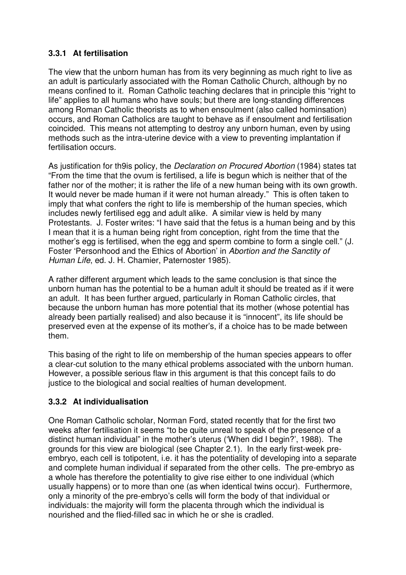# **3.3.1 At fertilisation**

The view that the unborn human has from its very beginning as much right to live as an adult is particularly associated with the Roman Catholic Church, although by no means confined to it. Roman Catholic teaching declares that in principle this "right to life" applies to all humans who have souls; but there are long-standing differences among Roman Catholic theorists as to when ensoulment (also called hominsation) occurs, and Roman Catholics are taught to behave as if ensoulment and fertilisation coincided. This means not attempting to destroy any unborn human, even by using methods such as the intra-uterine device with a view to preventing implantation if fertilisation occurs.

As justification for th9is policy, the *Declaration on Procured Abortion* (1984) states tat "From the time that the ovum is fertilised, a life is begun which is neither that of the father nor of the mother; it is rather the life of a new human being with its own growth. It would never be made human if it were not human already." This is often taken to imply that what confers the right to life is membership of the human species, which includes newly fertilised egg and adult alike. A similar view is held by many Protestants. J. Foster writes: "I have said that the fetus is a human being and by this I mean that it is a human being right from conception, right from the time that the mother's egg is fertilised, when the egg and sperm combine to form a single cell." (J. Foster 'Personhood and the Ethics of Abortion' in Abortion and the Sanctity of Human Life, ed. J. H. Chamier, Paternoster 1985).

A rather different argument which leads to the same conclusion is that since the unborn human has the potential to be a human adult it should be treated as if it were an adult. It has been further argued, particularly in Roman Catholic circles, that because the unborn human has more potential that its mother (whose potential has already been partially realised) and also because it is "innocent", its life should be preserved even at the expense of its mother's, if a choice has to be made between them.

This basing of the right to life on membership of the human species appears to offer a clear-cut solution to the many ethical problems associated with the unborn human. However, a possible serious flaw in this argument is that this concept fails to do justice to the biological and social realties of human development.

### **3.3.2 At individualisation**

One Roman Catholic scholar, Norman Ford, stated recently that for the first two weeks after fertilisation it seems "to be quite unreal to speak of the presence of a distinct human individual" in the mother's uterus ('When did I begin?', 1988). The grounds for this view are biological (see Chapter 2.1). In the early first-week preembryo, each cell is totipotent, i.e. it has the potentiality of developing into a separate and complete human individual if separated from the other cells. The pre-embryo as a whole has therefore the potentiality to give rise either to one individual (which usually happens) or to more than one (as when identical twins occur). Furthermore, only a minority of the pre-embryo's cells will form the body of that individual or individuals: the majority will form the placenta through which the individual is nourished and the flied-filled sac in which he or she is cradled.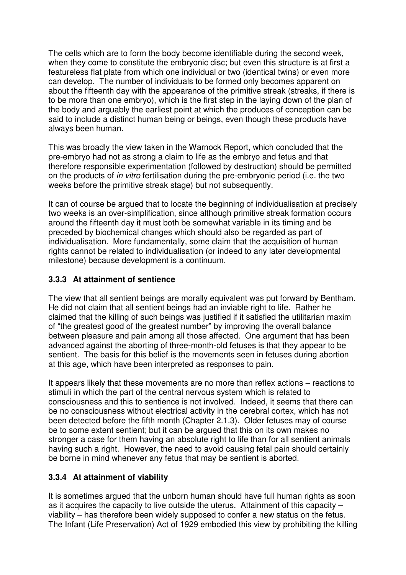The cells which are to form the body become identifiable during the second week, when they come to constitute the embryonic disc; but even this structure is at first a featureless flat plate from which one individual or two (identical twins) or even more can develop. The number of individuals to be formed only becomes apparent on about the fifteenth day with the appearance of the primitive streak (streaks, if there is to be more than one embryo), which is the first step in the laying down of the plan of the body and arguably the earliest point at which the produces of conception can be said to include a distinct human being or beings, even though these products have always been human.

This was broadly the view taken in the Warnock Report, which concluded that the pre-embryo had not as strong a claim to life as the embryo and fetus and that therefore responsible experimentation (followed by destruction) should be permitted on the products of in vitro fertilisation during the pre-embryonic period (i.e. the two weeks before the primitive streak stage) but not subsequently.

It can of course be argued that to locate the beginning of individualisation at precisely two weeks is an over-simplification, since although primitive streak formation occurs around the fifteenth day it must both be somewhat variable in its timing and be preceded by biochemical changes which should also be regarded as part of individualisation. More fundamentally, some claim that the acquisition of human rights cannot be related to individualisation (or indeed to any later developmental milestone) because development is a continuum.

## **3.3.3 At attainment of sentience**

The view that all sentient beings are morally equivalent was put forward by Bentham. He did not claim that all sentient beings had an inviable right to life. Rather he claimed that the killing of such beings was justified if it satisfied the utilitarian maxim of "the greatest good of the greatest number" by improving the overall balance between pleasure and pain among all those affected. One argument that has been advanced against the aborting of three-month-old fetuses is that they appear to be sentient. The basis for this belief is the movements seen in fetuses during abortion at this age, which have been interpreted as responses to pain.

It appears likely that these movements are no more than reflex actions – reactions to stimuli in which the part of the central nervous system which is related to consciousness and this to sentience is not involved. Indeed, it seems that there can be no consciousness without electrical activity in the cerebral cortex, which has not been detected before the fifth month (Chapter 2.1.3). Older fetuses may of course be to some extent sentient; but it can be argued that this on its own makes no stronger a case for them having an absolute right to life than for all sentient animals having such a right. However, the need to avoid causing fetal pain should certainly be borne in mind whenever any fetus that may be sentient is aborted.

### **3.3.4 At attainment of viability**

It is sometimes argued that the unborn human should have full human rights as soon as it acquires the capacity to live outside the uterus. Attainment of this capacity – viability – has therefore been widely supposed to confer a new status on the fetus. The Infant (Life Preservation) Act of 1929 embodied this view by prohibiting the killing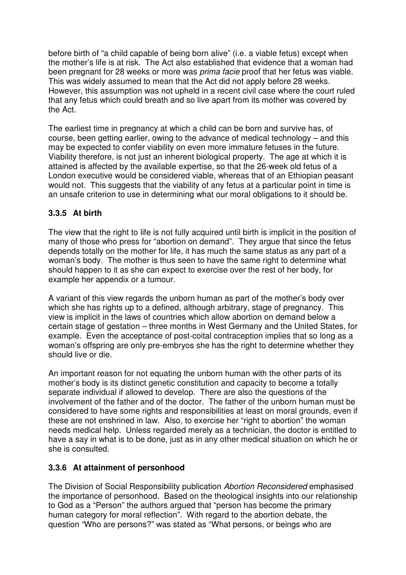before birth of "a child capable of being born alive" (i.e. a viable fetus) except when the mother's life is at risk. The Act also established that evidence that a woman had been pregnant for 28 weeks or more was prima facie proof that her fetus was viable. This was widely assumed to mean that the Act did not apply before 28 weeks. However, this assumption was not upheld in a recent civil case where the court ruled that any fetus which could breath and so live apart from its mother was covered by the Act.

The earliest time in pregnancy at which a child can be born and survive has, of course, been getting earlier, owing to the advance of medical technology – and this may be expected to confer viability on even more immature fetuses in the future. Viability therefore, is not just an inherent biological property. The age at which it is attained is affected by the available expertise, so that the 26-week old fetus of a London executive would be considered viable, whereas that of an Ethiopian peasant would not. This suggests that the viability of any fetus at a particular point in time is an unsafe criterion to use in determining what our moral obligations to it should be.

## **3.3.5 At birth**

The view that the right to life is not fully acquired until birth is implicit in the position of many of those who press for "abortion on demand". They argue that since the fetus depends totally on the mother for life, it has much the same status as any part of a woman's body. The mother is thus seen to have the same right to determine what should happen to it as she can expect to exercise over the rest of her body, for example her appendix or a tumour.

A variant of this view regards the unborn human as part of the mother's body over which she has rights up to a defined, although arbitrary, stage of pregnancy. This view is implicit in the laws of countries which allow abortion on demand below a certain stage of gestation – three months in West Germany and the United States, for example. Even the acceptance of post-coital contraception implies that so long as a woman's offspring are only pre-embryos she has the right to determine whether they should live or die.

An important reason for not equating the unborn human with the other parts of its mother's body is its distinct genetic constitution and capacity to become a totally separate individual if allowed to develop. There are also the questions of the involvement of the father and of the doctor. The father of the unborn human must be considered to have some rights and responsibilities at least on moral grounds, even if these are not enshrined in law. Also, to exercise her "right to abortion" the woman needs medical help. Unless regarded merely as a technician, the doctor is entitled to have a say in what is to be done, just as in any other medical situation on which he or she is consulted.

### **3.3.6 At attainment of personhood**

The Division of Social Responsibility publication Abortion Reconsidered emphasised the importance of personhood. Based on the theological insights into our relationship to God as a "Person" the authors argued that "person has become the primary human category for moral reflection". With regard to the abortion debate, the question "Who are persons?" was stated as "What persons, or beings who are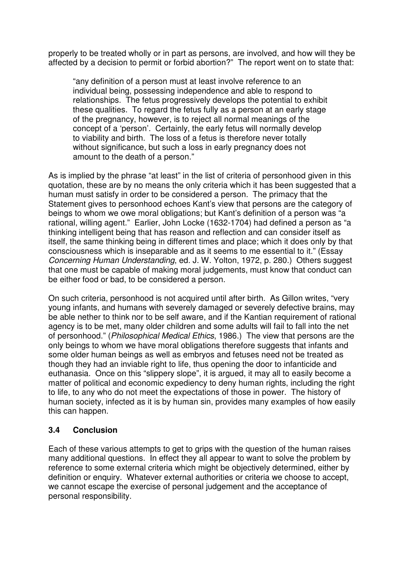properly to be treated wholly or in part as persons, are involved, and how will they be affected by a decision to permit or forbid abortion?" The report went on to state that:

"any definition of a person must at least involve reference to an individual being, possessing independence and able to respond to relationships. The fetus progressively develops the potential to exhibit these qualities. To regard the fetus fully as a person at an early stage of the pregnancy, however, is to reject all normal meanings of the concept of a 'person'. Certainly, the early fetus will normally develop to viability and birth. The loss of a fetus is therefore never totally without significance, but such a loss in early pregnancy does not amount to the death of a person."

As is implied by the phrase "at least" in the list of criteria of personhood given in this quotation, these are by no means the only criteria which it has been suggested that a human must satisfy in order to be considered a person. The primacy that the Statement gives to personhood echoes Kant's view that persons are the category of beings to whom we owe moral obligations; but Kant's definition of a person was "a rational, willing agent." Earlier, John Locke (1632-1704) had defined a person as "a thinking intelligent being that has reason and reflection and can consider itself as itself, the same thinking being in different times and place; which it does only by that consciousness which is inseparable and as it seems to me essential to it." (Essay Concerning Human Understanding, ed. J. W. Yolton, 1972, p. 280.) Others suggest that one must be capable of making moral judgements, must know that conduct can be either food or bad, to be considered a person.

On such criteria, personhood is not acquired until after birth. As Gillon writes, "very young infants, and humans with severely damaged or severely defective brains, may be able nether to think nor to be self aware, and if the Kantian requirement of rational agency is to be met, many older children and some adults will fail to fall into the net of personhood." (Philosophical Medical Ethics, 1986.) The view that persons are the only beings to whom we have moral obligations therefore suggests that infants and some older human beings as well as embryos and fetuses need not be treated as though they had an inviable right to life, thus opening the door to infanticide and euthanasia. Once on this "slippery slope", it is argued, it may all to easily become a matter of political and economic expediency to deny human rights, including the right to life, to any who do not meet the expectations of those in power. The history of human society, infected as it is by human sin, provides many examples of how easily this can happen.

### **3.4 Conclusion**

Each of these various attempts to get to grips with the question of the human raises many additional questions. In effect they all appear to want to solve the problem by reference to some external criteria which might be objectively determined, either by definition or enquiry. Whatever external authorities or criteria we choose to accept, we cannot escape the exercise of personal judgement and the acceptance of personal responsibility.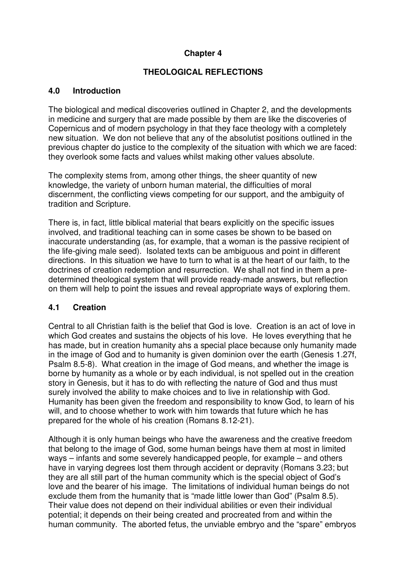### **Chapter 4**

### **THEOLOGICAL REFLECTIONS**

#### **4.0 Introduction**

The biological and medical discoveries outlined in Chapter 2, and the developments in medicine and surgery that are made possible by them are like the discoveries of Copernicus and of modern psychology in that they face theology with a completely new situation. We don not believe that any of the absolutist positions outlined in the previous chapter do justice to the complexity of the situation with which we are faced: they overlook some facts and values whilst making other values absolute.

The complexity stems from, among other things, the sheer quantity of new knowledge, the variety of unborn human material, the difficulties of moral discernment, the conflicting views competing for our support, and the ambiguity of tradition and Scripture.

There is, in fact, little biblical material that bears explicitly on the specific issues involved, and traditional teaching can in some cases be shown to be based on inaccurate understanding (as, for example, that a woman is the passive recipient of the life-giving male seed). Isolated texts can be ambiguous and point in different directions. In this situation we have to turn to what is at the heart of our faith, to the doctrines of creation redemption and resurrection. We shall not find in them a predetermined theological system that will provide ready-made answers, but reflection on them will help to point the issues and reveal appropriate ways of exploring them.

#### **4.1 Creation**

Central to all Christian faith is the belief that God is love. Creation is an act of love in which God creates and sustains the objects of his love. He loves everything that he has made, but in creation humanity ahs a special place because only humanity made in the image of God and to humanity is given dominion over the earth (Genesis 1.27f, Psalm 8.5-8). What creation in the image of God means, and whether the image is borne by humanity as a whole or by each individual, is not spelled out in the creation story in Genesis, but it has to do with reflecting the nature of God and thus must surely involved the ability to make choices and to live in relationship with God. Humanity has been given the freedom and responsibility to know God, to learn of his will, and to choose whether to work with him towards that future which he has prepared for the whole of his creation (Romans 8.12-21).

Although it is only human beings who have the awareness and the creative freedom that belong to the image of God, some human beings have them at most in limited ways – infants and some severely handicapped people, for example – and others have in varying degrees lost them through accident or depravity (Romans 3.23; but they are all still part of the human community which is the special object of God's love and the bearer of his image. The limitations of individual human beings do not exclude them from the humanity that is "made little lower than God" (Psalm 8.5). Their value does not depend on their individual abilities or even their individual potential; it depends on their being created and procreated from and within the human community. The aborted fetus, the unviable embryo and the "spare" embryos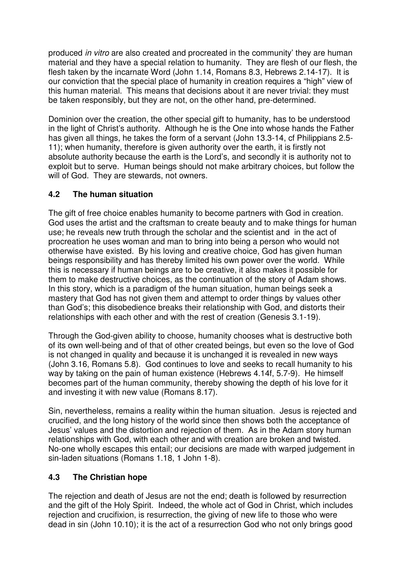produced in vitro are also created and procreated in the community' they are human material and they have a special relation to humanity. They are flesh of our flesh, the flesh taken by the incarnate Word (John 1.14, Romans 8.3, Hebrews 2.14-17). It is our conviction that the special place of humanity in creation requires a "high" view of this human material. This means that decisions about it are never trivial: they must be taken responsibly, but they are not, on the other hand, pre-determined.

Dominion over the creation, the other special gift to humanity, has to be understood in the light of Christ's authority. Although he is the One into whose hands the Father has given all things, he takes the form of a servant (John 13.3-14, cf Philippians 2.5- 11); when humanity, therefore is given authority over the earth, it is firstly not absolute authority because the earth is the Lord's, and secondly it is authority not to exploit but to serve. Human beings should not make arbitrary choices, but follow the will of God. They are stewards, not owners.

## **4.2 The human situation**

The gift of free choice enables humanity to become partners with God in creation. God uses the artist and the craftsman to create beauty and to make things for human use; he reveals new truth through the scholar and the scientist and in the act of procreation he uses woman and man to bring into being a person who would not otherwise have existed. By his loving and creative choice, God has given human beings responsibility and has thereby limited his own power over the world. While this is necessary if human beings are to be creative, it also makes it possible for them to make destructive choices, as the continuation of the story of Adam shows. In this story, which is a paradigm of the human situation, human beings seek a mastery that God has not given them and attempt to order things by values other than God's; this disobedience breaks their relationship with God, and distorts their relationships with each other and with the rest of creation (Genesis 3.1-19).

Through the God-given ability to choose, humanity chooses what is destructive both of its own well-being and of that of other created beings, but even so the love of God is not changed in quality and because it is unchanged it is revealed in new ways (John 3.16, Romans 5.8). God continues to love and seeks to recall humanity to his way by taking on the pain of human existence (Hebrews 4.14f, 5.7-9). He himself becomes part of the human community, thereby showing the depth of his love for it and investing it with new value (Romans 8.17).

Sin, nevertheless, remains a reality within the human situation. Jesus is rejected and crucified, and the long history of the world since then shows both the acceptance of Jesus' values and the distortion and rejection of them. As in the Adam story human relationships with God, with each other and with creation are broken and twisted. No-one wholly escapes this entail; our decisions are made with warped judgement in sin-laden situations (Romans 1.18, 1 John 1-8).

# **4.3 The Christian hope**

The rejection and death of Jesus are not the end; death is followed by resurrection and the gift of the Holy Spirit. Indeed, the whole act of God in Christ, which includes rejection and crucifixion, is resurrection, the giving of new life to those who were dead in sin (John 10.10); it is the act of a resurrection God who not only brings good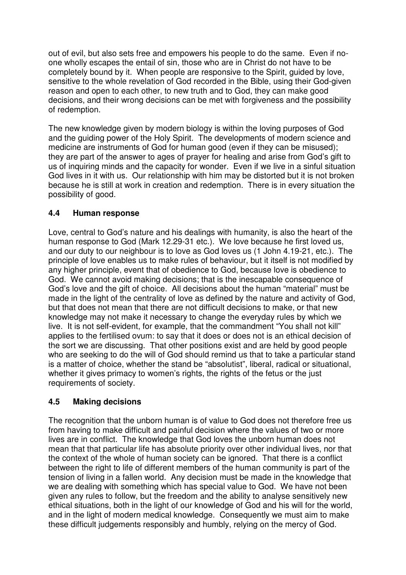out of evil, but also sets free and empowers his people to do the same. Even if noone wholly escapes the entail of sin, those who are in Christ do not have to be completely bound by it. When people are responsive to the Spirit, guided by love, sensitive to the whole revelation of God recorded in the Bible, using their God-given reason and open to each other, to new truth and to God, they can make good decisions, and their wrong decisions can be met with forgiveness and the possibility of redemption.

The new knowledge given by modern biology is within the loving purposes of God and the guiding power of the Holy Spirit. The developments of modern science and medicine are instruments of God for human good (even if they can be misused); they are part of the answer to ages of prayer for healing and arise from God's gift to us of inquiring minds and the capacity for wonder. Even if we live in a sinful situation God lives in it with us. Our relationship with him may be distorted but it is not broken because he is still at work in creation and redemption. There is in every situation the possibility of good.

## **4.4 Human response**

Love, central to God's nature and his dealings with humanity, is also the heart of the human response to God (Mark 12.29-31 etc.). We love because he first loved us, and our duty to our neighbour is to love as God loves us (1 John 4.19-21, etc.). The principle of love enables us to make rules of behaviour, but it itself is not modified by any higher principle, event that of obedience to God, because love is obedience to God. We cannot avoid making decisions; that is the inescapable consequence of God's love and the gift of choice. All decisions about the human "material" must be made in the light of the centrality of love as defined by the nature and activity of God, but that does not mean that there are not difficult decisions to make, or that new knowledge may not make it necessary to change the everyday rules by which we live. It is not self-evident, for example, that the commandment "You shall not kill" applies to the fertilised ovum: to say that it does or does not is an ethical decision of the sort we are discussing. That other positions exist and are held by good people who are seeking to do the will of God should remind us that to take a particular stand is a matter of choice, whether the stand be "absolutist", liberal, radical or situational, whether it gives primacy to women's rights, the rights of the fetus or the just requirements of society.

### **4.5 Making decisions**

The recognition that the unborn human is of value to God does not therefore free us from having to make difficult and painful decision where the values of two or more lives are in conflict. The knowledge that God loves the unborn human does not mean that that particular life has absolute priority over other individual lives, nor that the context of the whole of human society can be ignored. That there is a conflict between the right to life of different members of the human community is part of the tension of living in a fallen world. Any decision must be made in the knowledge that we are dealing with something which has special value to God. We have not been given any rules to follow, but the freedom and the ability to analyse sensitively new ethical situations, both in the light of our knowledge of God and his will for the world, and in the light of modern medical knowledge. Consequently we must aim to make these difficult judgements responsibly and humbly, relying on the mercy of God.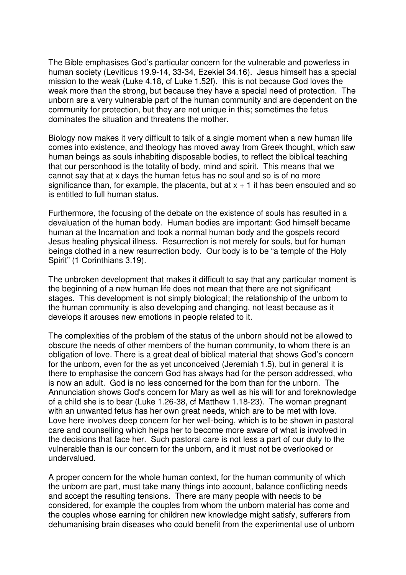The Bible emphasises God's particular concern for the vulnerable and powerless in human society (Leviticus 19.9-14, 33-34, Ezekiel 34.16). Jesus himself has a special mission to the weak (Luke 4.18, cf Luke 1.52f). this is not because God loves the weak more than the strong, but because they have a special need of protection. The unborn are a very vulnerable part of the human community and are dependent on the community for protection, but they are not unique in this; sometimes the fetus dominates the situation and threatens the mother.

Biology now makes it very difficult to talk of a single moment when a new human life comes into existence, and theology has moved away from Greek thought, which saw human beings as souls inhabiting disposable bodies, to reflect the biblical teaching that our personhood is the totality of body, mind and spirit. This means that we cannot say that at x days the human fetus has no soul and so is of no more significance than, for example, the placenta, but at  $x + 1$  it has been ensouled and so is entitled to full human status.

Furthermore, the focusing of the debate on the existence of souls has resulted in a devaluation of the human body. Human bodies are important: God himself became human at the Incarnation and took a normal human body and the gospels record Jesus healing physical illness. Resurrection is not merely for souls, but for human beings clothed in a new resurrection body. Our body is to be "a temple of the Holy Spirit" (1 Corinthians 3.19).

The unbroken development that makes it difficult to say that any particular moment is the beginning of a new human life does not mean that there are not significant stages. This development is not simply biological; the relationship of the unborn to the human community is also developing and changing, not least because as it develops it arouses new emotions in people related to it.

The complexities of the problem of the status of the unborn should not be allowed to obscure the needs of other members of the human community, to whom there is an obligation of love. There is a great deal of biblical material that shows God's concern for the unborn, even for the as yet unconceived (Jeremiah 1.5), but in general it is there to emphasise the concern God has always had for the person addressed, who is now an adult. God is no less concerned for the born than for the unborn. The Annunciation shows God's concern for Mary as well as his will for and foreknowledge of a child she is to bear (Luke 1.26-38, cf Matthew 1.18-23). The woman pregnant with an unwanted fetus has her own great needs, which are to be met with love. Love here involves deep concern for her well-being, which is to be shown in pastoral care and counselling which helps her to become more aware of what is involved in the decisions that face her. Such pastoral care is not less a part of our duty to the vulnerable than is our concern for the unborn, and it must not be overlooked or undervalued.

A proper concern for the whole human context, for the human community of which the unborn are part, must take many things into account, balance conflicting needs and accept the resulting tensions. There are many people with needs to be considered, for example the couples from whom the unborn material has come and the couples whose earning for children new knowledge might satisfy, sufferers from dehumanising brain diseases who could benefit from the experimental use of unborn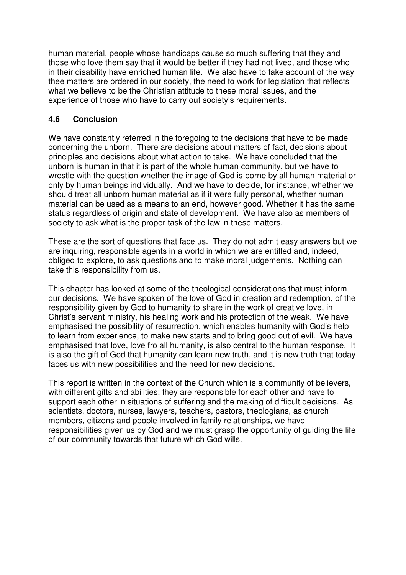human material, people whose handicaps cause so much suffering that they and those who love them say that it would be better if they had not lived, and those who in their disability have enriched human life. We also have to take account of the way thee matters are ordered in our society, the need to work for legislation that reflects what we believe to be the Christian attitude to these moral issues, and the experience of those who have to carry out society's requirements.

### **4.6 Conclusion**

We have constantly referred in the foregoing to the decisions that have to be made concerning the unborn. There are decisions about matters of fact, decisions about principles and decisions about what action to take. We have concluded that the unborn is human in that it is part of the whole human community, but we have to wrestle with the question whether the image of God is borne by all human material or only by human beings individually. And we have to decide, for instance, whether we should treat all unborn human material as if it were fully personal, whether human material can be used as a means to an end, however good. Whether it has the same status regardless of origin and state of development. We have also as members of society to ask what is the proper task of the law in these matters.

These are the sort of questions that face us. They do not admit easy answers but we are inquiring, responsible agents in a world in which we are entitled and, indeed, obliged to explore, to ask questions and to make moral judgements. Nothing can take this responsibility from us.

This chapter has looked at some of the theological considerations that must inform our decisions. We have spoken of the love of God in creation and redemption, of the responsibility given by God to humanity to share in the work of creative love, in Christ's servant ministry, his healing work and his protection of the weak. We have emphasised the possibility of resurrection, which enables humanity with God's help to learn from experience, to make new starts and to bring good out of evil. We have emphasised that love, love fro all humanity, is also central to the human response. It is also the gift of God that humanity can learn new truth, and it is new truth that today faces us with new possibilities and the need for new decisions.

This report is written in the context of the Church which is a community of believers, with different gifts and abilities; they are responsible for each other and have to support each other in situations of suffering and the making of difficult decisions. As scientists, doctors, nurses, lawyers, teachers, pastors, theologians, as church members, citizens and people involved in family relationships, we have responsibilities given us by God and we must grasp the opportunity of guiding the life of our community towards that future which God wills.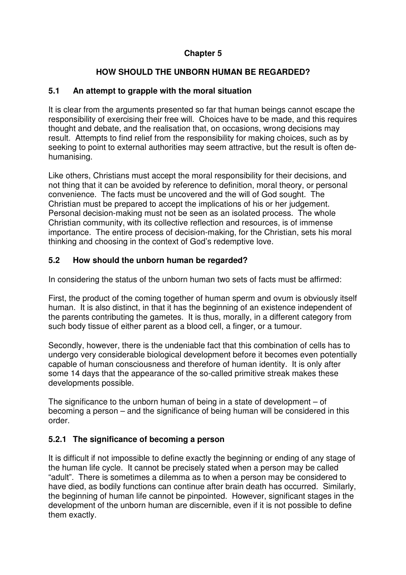# **Chapter 5**

# **HOW SHOULD THE UNBORN HUMAN BE REGARDED?**

## **5.1 An attempt to grapple with the moral situation**

It is clear from the arguments presented so far that human beings cannot escape the responsibility of exercising their free will. Choices have to be made, and this requires thought and debate, and the realisation that, on occasions, wrong decisions may result. Attempts to find relief from the responsibility for making choices, such as by seeking to point to external authorities may seem attractive, but the result is often dehumanising.

Like others, Christians must accept the moral responsibility for their decisions, and not thing that it can be avoided by reference to definition, moral theory, or personal convenience. The facts must be uncovered and the will of God sought. The Christian must be prepared to accept the implications of his or her judgement. Personal decision-making must not be seen as an isolated process. The whole Christian community, with its collective reflection and resources, is of immense importance. The entire process of decision-making, for the Christian, sets his moral thinking and choosing in the context of God's redemptive love.

## **5.2 How should the unborn human be regarded?**

In considering the status of the unborn human two sets of facts must be affirmed:

First, the product of the coming together of human sperm and ovum is obviously itself human. It is also distinct, in that it has the beginning of an existence independent of the parents contributing the gametes. It is thus, morally, in a different category from such body tissue of either parent as a blood cell, a finger, or a tumour.

Secondly, however, there is the undeniable fact that this combination of cells has to undergo very considerable biological development before it becomes even potentially capable of human consciousness and therefore of human identity. It is only after some 14 days that the appearance of the so-called primitive streak makes these developments possible.

The significance to the unborn human of being in a state of development – of becoming a person – and the significance of being human will be considered in this order.

# **5.2.1 The significance of becoming a person**

It is difficult if not impossible to define exactly the beginning or ending of any stage of the human life cycle. It cannot be precisely stated when a person may be called "adult". There is sometimes a dilemma as to when a person may be considered to have died, as bodily functions can continue after brain death has occurred. Similarly, the beginning of human life cannot be pinpointed. However, significant stages in the development of the unborn human are discernible, even if it is not possible to define them exactly.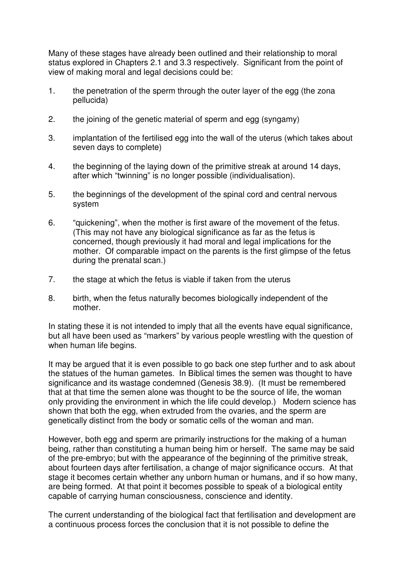Many of these stages have already been outlined and their relationship to moral status explored in Chapters 2.1 and 3.3 respectively. Significant from the point of view of making moral and legal decisions could be:

- 1. the penetration of the sperm through the outer layer of the egg (the zona pellucida)
- 2. the joining of the genetic material of sperm and egg (syngamy)
- 3. implantation of the fertilised egg into the wall of the uterus (which takes about seven days to complete)
- 4. the beginning of the laying down of the primitive streak at around 14 days, after which "twinning" is no longer possible (individualisation).
- 5. the beginnings of the development of the spinal cord and central nervous system
- 6. "quickening", when the mother is first aware of the movement of the fetus. (This may not have any biological significance as far as the fetus is concerned, though previously it had moral and legal implications for the mother. Of comparable impact on the parents is the first glimpse of the fetus during the prenatal scan.)
- 7. the stage at which the fetus is viable if taken from the uterus
- 8. birth, when the fetus naturally becomes biologically independent of the mother.

In stating these it is not intended to imply that all the events have equal significance, but all have been used as "markers" by various people wrestling with the question of when human life begins.

It may be argued that it is even possible to go back one step further and to ask about the statues of the human gametes. In Biblical times the semen was thought to have significance and its wastage condemned (Genesis 38.9). (It must be remembered that at that time the semen alone was thought to be the source of life, the woman only providing the environment in which the life could develop.) Modern science has shown that both the egg, when extruded from the ovaries, and the sperm are genetically distinct from the body or somatic cells of the woman and man.

However, both egg and sperm are primarily instructions for the making of a human being, rather than constituting a human being him or herself. The same may be said of the pre-embryo; but with the appearance of the beginning of the primitive streak, about fourteen days after fertilisation, a change of major significance occurs. At that stage it becomes certain whether any unborn human or humans, and if so how many, are being formed. At that point it becomes possible to speak of a biological entity capable of carrying human consciousness, conscience and identity.

The current understanding of the biological fact that fertilisation and development are a continuous process forces the conclusion that it is not possible to define the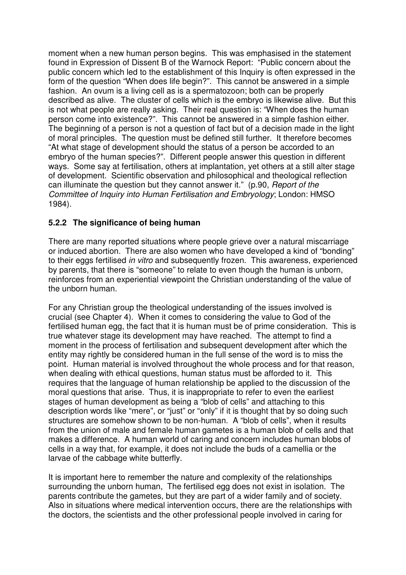moment when a new human person begins. This was emphasised in the statement found in Expression of Dissent B of the Warnock Report: "Public concern about the public concern which led to the establishment of this Inquiry is often expressed in the form of the question "When does life begin?". This cannot be answered in a simple fashion. An ovum is a living cell as is a spermatozoon; both can be properly described as alive. The cluster of cells which is the embryo is likewise alive. But this is not what people are really asking. Their real question is: "When does the human person come into existence?". This cannot be answered in a simple fashion either. The beginning of a person is not a question of fact but of a decision made in the light of moral principles. The question must be defined still further. It therefore becomes "At what stage of development should the status of a person be accorded to an embryo of the human species?". Different people answer this question in different ways. Some say at fertilisation, others at implantation, yet others at a still alter stage of development. Scientific observation and philosophical and theological reflection can illuminate the question but they cannot answer it." (p.90, Report of the Committee of Inquiry into Human Fertilisation and Embryology; London: HMSO 1984).

## **5.2.2 The significance of being human**

There are many reported situations where people grieve over a natural miscarriage or induced abortion. There are also women who have developed a kind of "bonding" to their eggs fertilised in vitro and subsequently frozen. This awareness, experienced by parents, that there is "someone" to relate to even though the human is unborn, reinforces from an experiential viewpoint the Christian understanding of the value of the unborn human.

For any Christian group the theological understanding of the issues involved is crucial (see Chapter 4). When it comes to considering the value to God of the fertilised human egg, the fact that it is human must be of prime consideration. This is true whatever stage its development may have reached. The attempt to find a moment in the process of fertilisation and subsequent development after which the entity may rightly be considered human in the full sense of the word is to miss the point. Human material is involved throughout the whole process and for that reason, when dealing with ethical questions, human status must be afforded to it. This requires that the language of human relationship be applied to the discussion of the moral questions that arise. Thus, it is inappropriate to refer to even the earliest stages of human development as being a "blob of cells" and attaching to this description words like "mere", or "just" or "only" if it is thought that by so doing such structures are somehow shown to be non-human. A "blob of cells", when it results from the union of male and female human gametes is a human blob of cells and that makes a difference. A human world of caring and concern includes human blobs of cells in a way that, for example, it does not include the buds of a camellia or the larvae of the cabbage white butterfly.

It is important here to remember the nature and complexity of the relationships surrounding the unborn human, The fertilised egg does not exist in isolation. The parents contribute the gametes, but they are part of a wider family and of society. Also in situations where medical intervention occurs, there are the relationships with the doctors, the scientists and the other professional people involved in caring for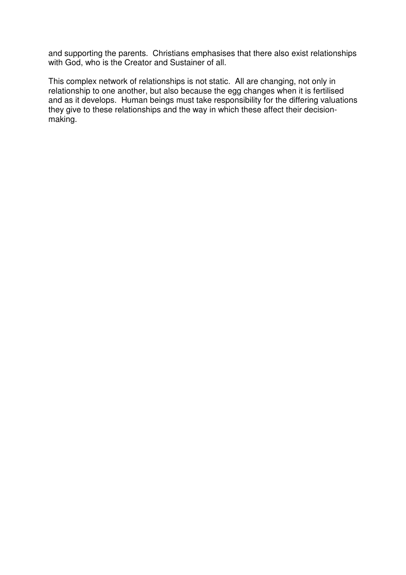and supporting the parents. Christians emphasises that there also exist relationships with God, who is the Creator and Sustainer of all.

This complex network of relationships is not static. All are changing, not only in relationship to one another, but also because the egg changes when it is fertilised and as it develops. Human beings must take responsibility for the differing valuations they give to these relationships and the way in which these affect their decisionmaking.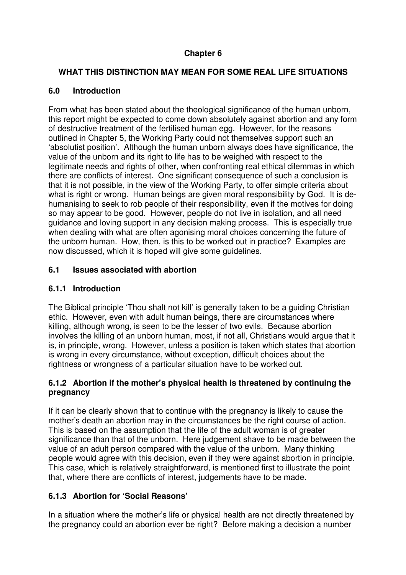# **Chapter 6**

# **WHAT THIS DISTINCTION MAY MEAN FOR SOME REAL LIFE SITUATIONS**

## **6.0 Introduction**

From what has been stated about the theological significance of the human unborn, this report might be expected to come down absolutely against abortion and any form of destructive treatment of the fertilised human egg. However, for the reasons outlined in Chapter 5, the Working Party could not themselves support such an 'absolutist position'. Although the human unborn always does have significance, the value of the unborn and its right to life has to be weighed with respect to the legitimate needs and rights of other, when confronting real ethical dilemmas in which there are conflicts of interest. One significant consequence of such a conclusion is that it is not possible, in the view of the Working Party, to offer simple criteria about what is right or wrong. Human beings are given moral responsibility by God. It is dehumanising to seek to rob people of their responsibility, even if the motives for doing so may appear to be good. However, people do not live in isolation, and all need guidance and loving support in any decision making process. This is especially true when dealing with what are often agonising moral choices concerning the future of the unborn human. How, then, is this to be worked out in practice? Examples are now discussed, which it is hoped will give some guidelines.

## **6.1 Issues associated with abortion**

### **6.1.1 Introduction**

The Biblical principle 'Thou shalt not kill' is generally taken to be a guiding Christian ethic. However, even with adult human beings, there are circumstances where killing, although wrong, is seen to be the lesser of two evils. Because abortion involves the killing of an unborn human, most, if not all, Christians would argue that it is, in principle, wrong. However, unless a position is taken which states that abortion is wrong in every circumstance, without exception, difficult choices about the rightness or wrongness of a particular situation have to be worked out.

### **6.1.2 Abortion if the mother's physical health is threatened by continuing the pregnancy**

If it can be clearly shown that to continue with the pregnancy is likely to cause the mother's death an abortion may in the circumstances be the right course of action. This is based on the assumption that the life of the adult woman is of greater significance than that of the unborn. Here judgement shave to be made between the value of an adult person compared with the value of the unborn. Many thinking people would agree with this decision, even if they were against abortion in principle. This case, which is relatively straightforward, is mentioned first to illustrate the point that, where there are conflicts of interest, judgements have to be made.

# **6.1.3 Abortion for 'Social Reasons'**

In a situation where the mother's life or physical health are not directly threatened by the pregnancy could an abortion ever be right? Before making a decision a number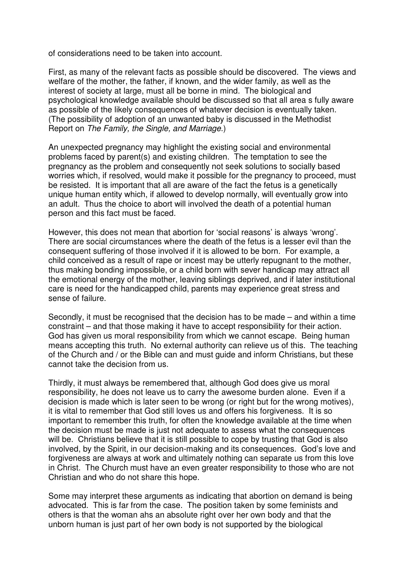of considerations need to be taken into account.

First, as many of the relevant facts as possible should be discovered. The views and welfare of the mother, the father, if known, and the wider family, as well as the interest of society at large, must all be borne in mind. The biological and psychological knowledge available should be discussed so that all area s fully aware as possible of the likely consequences of whatever decision is eventually taken. (The possibility of adoption of an unwanted baby is discussed in the Methodist Report on The Family, the Single, and Marriage.)

An unexpected pregnancy may highlight the existing social and environmental problems faced by parent(s) and existing children. The temptation to see the pregnancy as the problem and consequently not seek solutions to socially based worries which, if resolved, would make it possible for the pregnancy to proceed, must be resisted. It is important that all are aware of the fact the fetus is a genetically unique human entity which, if allowed to develop normally, will eventually grow into an adult. Thus the choice to abort will involved the death of a potential human person and this fact must be faced.

However, this does not mean that abortion for 'social reasons' is always 'wrong'. There are social circumstances where the death of the fetus is a lesser evil than the consequent suffering of those involved if it is allowed to be born. For example, a child conceived as a result of rape or incest may be utterly repugnant to the mother, thus making bonding impossible, or a child born with sever handicap may attract all the emotional energy of the mother, leaving siblings deprived, and if later institutional care is need for the handicapped child, parents may experience great stress and sense of failure.

Secondly, it must be recognised that the decision has to be made – and within a time constraint – and that those making it have to accept responsibility for their action. God has given us moral responsibility from which we cannot escape. Being human means accepting this truth. No external authority can relieve us of this. The teaching of the Church and / or the Bible can and must guide and inform Christians, but these cannot take the decision from us.

Thirdly, it must always be remembered that, although God does give us moral responsibility, he does not leave us to carry the awesome burden alone. Even if a decision is made which is later seen to be wrong (or right but for the wrong motives), it is vital to remember that God still loves us and offers his forgiveness. It is so important to remember this truth, for often the knowledge available at the time when the decision must be made is just not adequate to assess what the consequences will be. Christians believe that it is still possible to cope by trusting that God is also involved, by the Spirit, in our decision-making and its consequences. God's love and forgiveness are always at work and ultimately nothing can separate us from this love in Christ. The Church must have an even greater responsibility to those who are not Christian and who do not share this hope.

Some may interpret these arguments as indicating that abortion on demand is being advocated. This is far from the case. The position taken by some feminists and others is that the woman ahs an absolute right over her own body and that the unborn human is just part of her own body is not supported by the biological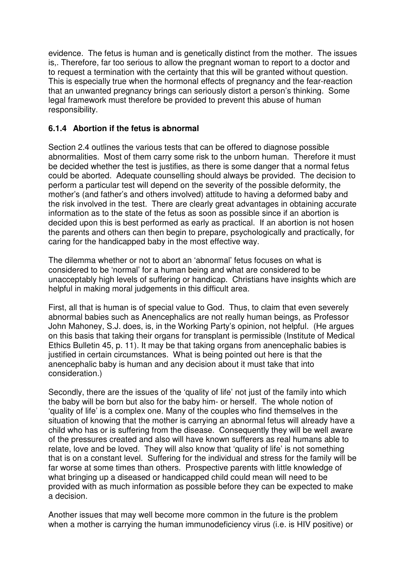evidence. The fetus is human and is genetically distinct from the mother. The issues is,. Therefore, far too serious to allow the pregnant woman to report to a doctor and to request a termination with the certainty that this will be granted without question. This is especially true when the hormonal effects of pregnancy and the fear-reaction that an unwanted pregnancy brings can seriously distort a person's thinking. Some legal framework must therefore be provided to prevent this abuse of human responsibility.

# **6.1.4 Abortion if the fetus is abnormal**

Section 2.4 outlines the various tests that can be offered to diagnose possible abnormalities. Most of them carry some risk to the unborn human. Therefore it must be decided whether the test is justifies, as there is some danger that a normal fetus could be aborted. Adequate counselling should always be provided. The decision to perform a particular test will depend on the severity of the possible deformity, the mother's (and father's and others involved) attitude to having a deformed baby and the risk involved in the test. There are clearly great advantages in obtaining accurate information as to the state of the fetus as soon as possible since if an abortion is decided upon this is best performed as early as practical. If an abortion is not hosen the parents and others can then begin to prepare, psychologically and practically, for caring for the handicapped baby in the most effective way.

The dilemma whether or not to abort an 'abnormal' fetus focuses on what is considered to be 'normal' for a human being and what are considered to be unacceptably high levels of suffering or handicap. Christians have insights which are helpful in making moral judgements in this difficult area.

First, all that is human is of special value to God. Thus, to claim that even severely abnormal babies such as Anencephalics are not really human beings, as Professor John Mahoney, S.J. does, is, in the Working Party's opinion, not helpful. (He argues on this basis that taking their organs for transplant is permissible (Institute of Medical Ethics Bulletin 45, p. 11). It may be that taking organs from anencephalic babies is justified in certain circumstances. What is being pointed out here is that the anencephalic baby is human and any decision about it must take that into consideration.)

Secondly, there are the issues of the 'quality of life' not just of the family into which the baby will be born but also for the baby him- or herself. The whole notion of 'quality of life' is a complex one. Many of the couples who find themselves in the situation of knowing that the mother is carrying an abnormal fetus will already have a child who has or is suffering from the disease. Consequently they will be well aware of the pressures created and also will have known sufferers as real humans able to relate, love and be loved. They will also know that 'quality of life' is not something that is on a constant level. Suffering for the individual and stress for the family will be far worse at some times than others. Prospective parents with little knowledge of what bringing up a diseased or handicapped child could mean will need to be provided with as much information as possible before they can be expected to make a decision.

Another issues that may well become more common in the future is the problem when a mother is carrying the human immunodeficiency virus (i.e. is HIV positive) or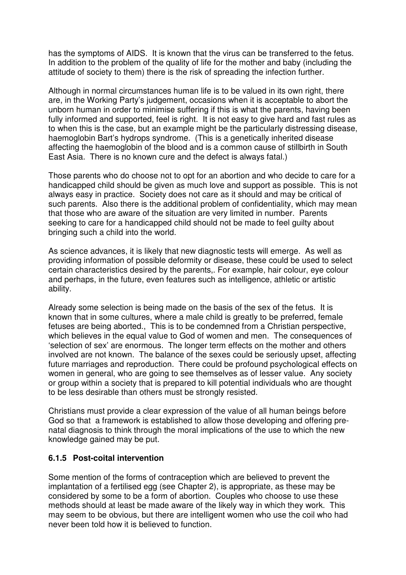has the symptoms of AIDS. It is known that the virus can be transferred to the fetus. In addition to the problem of the quality of life for the mother and baby (including the attitude of society to them) there is the risk of spreading the infection further.

Although in normal circumstances human life is to be valued in its own right, there are, in the Working Party's judgement, occasions when it is acceptable to abort the unborn human in order to minimise suffering if this is what the parents, having been fully informed and supported, feel is right. It is not easy to give hard and fast rules as to when this is the case, but an example might be the particularly distressing disease, haemoglobin Bart's hydrops syndrome. (This is a genetically inherited disease affecting the haemoglobin of the blood and is a common cause of stillbirth in South East Asia. There is no known cure and the defect is always fatal.)

Those parents who do choose not to opt for an abortion and who decide to care for a handicapped child should be given as much love and support as possible. This is not always easy in practice. Society does not care as it should and may be critical of such parents. Also there is the additional problem of confidentiality, which may mean that those who are aware of the situation are very limited in number. Parents seeking to care for a handicapped child should not be made to feel guilty about bringing such a child into the world.

As science advances, it is likely that new diagnostic tests will emerge. As well as providing information of possible deformity or disease, these could be used to select certain characteristics desired by the parents,. For example, hair colour, eye colour and perhaps, in the future, even features such as intelligence, athletic or artistic ability.

Already some selection is being made on the basis of the sex of the fetus. It is known that in some cultures, where a male child is greatly to be preferred, female fetuses are being aborted., This is to be condemned from a Christian perspective, which believes in the equal value to God of women and men. The consequences of 'selection of sex' are enormous. The longer term effects on the mother and others involved are not known. The balance of the sexes could be seriously upset, affecting future marriages and reproduction. There could be profound psychological effects on women in general, who are going to see themselves as of lesser value. Any society or group within a society that is prepared to kill potential individuals who are thought to be less desirable than others must be strongly resisted.

Christians must provide a clear expression of the value of all human beings before God so that a framework is established to allow those developing and offering prenatal diagnosis to think through the moral implications of the use to which the new knowledge gained may be put.

#### **6.1.5 Post-coital intervention**

Some mention of the forms of contraception which are believed to prevent the implantation of a fertilised egg (see Chapter 2), is appropriate, as these may be considered by some to be a form of abortion. Couples who choose to use these methods should at least be made aware of the likely way in which they work. This may seem to be obvious, but there are intelligent women who use the coil who had never been told how it is believed to function.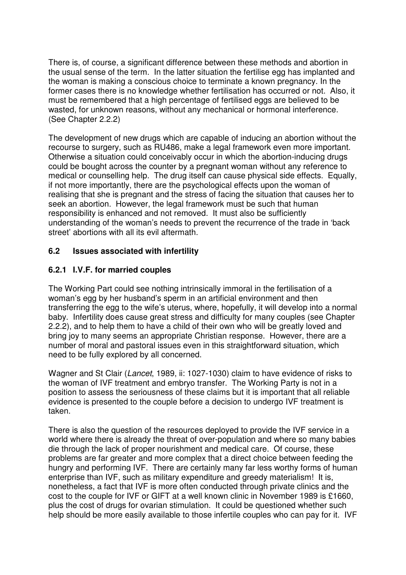There is, of course, a significant difference between these methods and abortion in the usual sense of the term. In the latter situation the fertilise egg has implanted and the woman is making a conscious choice to terminate a known pregnancy. In the former cases there is no knowledge whether fertilisation has occurred or not. Also, it must be remembered that a high percentage of fertilised eggs are believed to be wasted, for unknown reasons, without any mechanical or hormonal interference. (See Chapter 2.2.2)

The development of new drugs which are capable of inducing an abortion without the recourse to surgery, such as RU486, make a legal framework even more important. Otherwise a situation could conceivably occur in which the abortion-inducing drugs could be bought across the counter by a pregnant woman without any reference to medical or counselling help. The drug itself can cause physical side effects. Equally, if not more importantly, there are the psychological effects upon the woman of realising that she is pregnant and the stress of facing the situation that causes her to seek an abortion. However, the legal framework must be such that human responsibility is enhanced and not removed. It must also be sufficiently understanding of the woman's needs to prevent the recurrence of the trade in 'back street' abortions with all its evil aftermath.

### **6.2 Issues associated with infertility**

## **6.2.1 I.V.F. for married couples**

The Working Part could see nothing intrinsically immoral in the fertilisation of a woman's egg by her husband's sperm in an artificial environment and then transferring the egg to the wife's uterus, where, hopefully, it will develop into a normal baby. Infertility does cause great stress and difficulty for many couples (see Chapter 2.2.2), and to help them to have a child of their own who will be greatly loved and bring joy to many seems an appropriate Christian response. However, there are a number of moral and pastoral issues even in this straightforward situation, which need to be fully explored by all concerned.

Wagner and St Clair (Lancet, 1989, ii: 1027-1030) claim to have evidence of risks to the woman of IVF treatment and embryo transfer. The Working Party is not in a position to assess the seriousness of these claims but it is important that all reliable evidence is presented to the couple before a decision to undergo IVF treatment is taken.

There is also the question of the resources deployed to provide the IVF service in a world where there is already the threat of over-population and where so many babies die through the lack of proper nourishment and medical care. Of course, these problems are far greater and more complex that a direct choice between feeding the hungry and performing IVF. There are certainly many far less worthy forms of human enterprise than IVF, such as military expenditure and greedy materialism! It is, nonetheless, a fact that IVF is more often conducted through private clinics and the cost to the couple for IVF or GIFT at a well known clinic in November 1989 is £1660, plus the cost of drugs for ovarian stimulation. It could be questioned whether such help should be more easily available to those infertile couples who can pay for it. IVF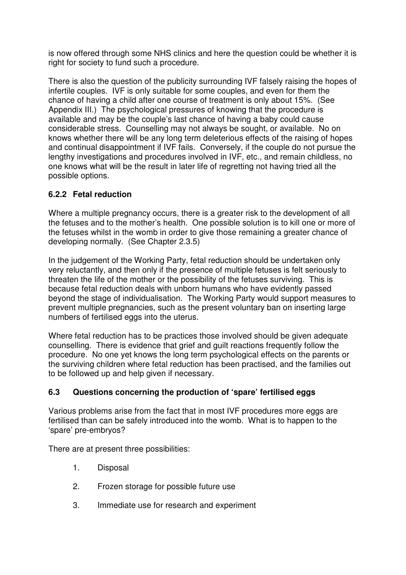is now offered through some NHS clinics and here the question could be whether it is right for society to fund such a procedure.

There is also the question of the publicity surrounding IVF falsely raising the hopes of infertile couples. IVF is only suitable for some couples, and even for them the chance of having a child after one course of treatment is only about 15%. (See Appendix III.) The psychological pressures of knowing that the procedure is available and may be the couple's last chance of having a baby could cause considerable stress. Counselling may not always be sought, or available. No on knows whether there will be any long term deleterious effects of the raising of hopes and continual disappointment if IVF fails. Conversely, if the couple do not pursue the lengthy investigations and procedures involved in IVF, etc., and remain childless, no one knows what will be the result in later life of regretting not having tried all the possible options.

## **6.2.2 Fetal reduction**

Where a multiple pregnancy occurs, there is a greater risk to the development of all the fetuses and to the mother's health. One possible solution is to kill one or more of the fetuses whilst in the womb in order to give those remaining a greater chance of developing normally. (See Chapter 2.3.5)

In the judgement of the Working Party, fetal reduction should be undertaken only very reluctantly, and then only if the presence of multiple fetuses is felt seriously to threaten the life of the mother or the possibility of the fetuses surviving. This is because fetal reduction deals with unborn humans who have evidently passed beyond the stage of individualisation. The Working Party would support measures to prevent multiple pregnancies, such as the present voluntary ban on inserting large numbers of fertilised eggs into the uterus.

Where fetal reduction has to be practices those involved should be given adequate counselling. There is evidence that grief and guilt reactions frequently follow the procedure. No one yet knows the long term psychological effects on the parents or the surviving children where fetal reduction has been practised, and the families out to be followed up and help given if necessary.

# **6.3 Questions concerning the production of 'spare' fertilised eggs**

Various problems arise from the fact that in most IVF procedures more eggs are fertilised than can be safely introduced into the womb. What is to happen to the 'spare' pre-embryos?

There are at present three possibilities:

- 1. Disposal
- 2. Frozen storage for possible future use
- 3. Immediate use for research and experiment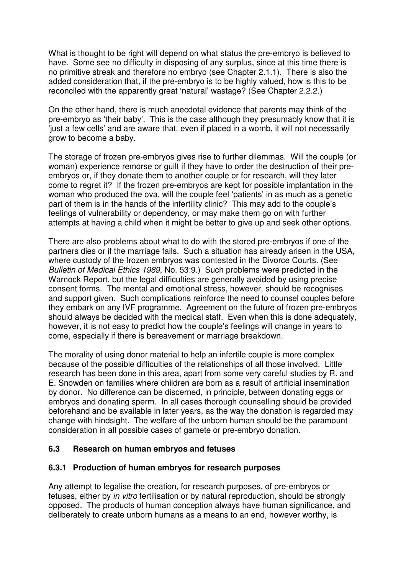What is thought to be right will depend on what status the pre-embryo is believed to have. Some see no difficulty in disposing of any surplus, since at this time there is no primitive streak and therefore no embryo (see Chapter 2.1.1). There is also the added consideration that, if the pre-embryo is to be highly valued, how is this to be reconciled with the apparently great 'natural' wastage? (See Chapter 2.2.2.)

On the other hand, there is much anecdotal evidence that parents may think of the pre-embryo as 'their baby'. This is the case although they presumably know that it is 'just a few cells' and are aware that, even if placed in a womb, it will not necessarily grow to become a baby.

The storage of frozen pre-embryos gives rise to further dilemmas. Will the couple (or woman) experience remorse or guilt if they have to order the destruction of their preembryos or, if they donate them to another couple or for research, will they later come to regret it? If the frozen pre-embryos are kept for possible implantation in the woman who produced the ova, will the couple feel 'patients' in as much as a genetic part of them is in the hands of the infertility clinic? This may add to the couple's feelings of vulnerability or dependency, or may make them go on with further attempts at having a child when it might be better to give up and seek other options.

There are also problems about what to do with the stored pre-embryos if one of the partners dies or if the marriage fails. Such a situation has already arisen in the USA, where custody of the frozen embryos was contested in the Divorce Courts. (See Bulletin of Medical Ethics 1989, No. 53:9.) Such problems were predicted in the Warnock Report, but the legal difficulties are generally avoided by using precise consent forms. The mental and emotional stress, however, should be recognises and support given. Such complications reinforce the need to counsel couples before they embark on any IVF programme. Agreement on the future of frozen pre-embryos should always be decided with the medical staff. Even when this is done adequately, however, it is not easy to predict how the couple's feelings will change in years to come, especially if there is bereavement or marriage breakdown.

The morality of using donor material to help an infertile couple is more complex because of the possible difficulties of the relationships of all those involved. Little research has been done in this area, apart from some very careful studies by R. and E. Snowden on families where children are born as a result of artificial insemination by donor. No difference can be discerned, in principle, between donating eggs or embryos and donating sperm. In all cases thorough counselling should be provided beforehand and be available in later years, as the way the donation is regarded may change with hindsight. The welfare of the unborn human should be the paramount consideration in all possible cases of gamete or pre-embryo donation.

### **6.3 Research on human embryos and fetuses**

### **6.3.1 Production of human embryos for research purposes**

Any attempt to legalise the creation, for research purposes, of pre-embryos or fetuses, either by in vitro fertilisation or by natural reproduction, should be strongly opposed. The products of human conception always have human significance, and deliberately to create unborn humans as a means to an end, however worthy, is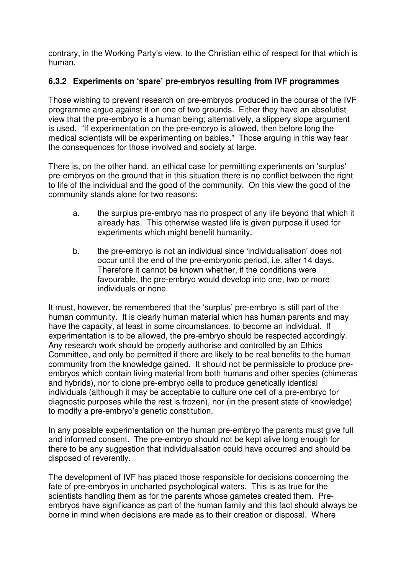contrary, in the Working Party's view, to the Christian ethic of respect for that which is human.

### **6.3.2 Experiments on 'spare' pre-embryos resulting from IVF programmes**

Those wishing to prevent research on pre-embryos produced in the course of the IVF programme argue against it on one of two grounds. Either they have an absolutist view that the pre-embryo is a human being; alternatively, a slippery slope argument is used. "If experimentation on the pre-embryo is allowed, then before long the medical scientists will be experimenting on babies." Those arguing in this way fear the consequences for those involved and society at large.

There is, on the other hand, an ethical case for permitting experiments on 'surplus' pre-embryos on the ground that in this situation there is no conflict between the right to life of the individual and the good of the community. On this view the good of the community stands alone for two reasons:

- a. the surplus pre-embryo has no prospect of any life beyond that which it already has. This otherwise wasted life is given purpose if used for experiments which might benefit humanity.
- b. the pre-embryo is not an individual since 'individualisation' does not occur until the end of the pre-embryonic period, i.e. after 14 days. Therefore it cannot be known whether, if the conditions were favourable, the pre-embryo would develop into one, two or more individuals or none.

It must, however, be remembered that the 'surplus' pre-embryo is still part of the human community. It is clearly human material which has human parents and may have the capacity, at least in some circumstances, to become an individual. If experimentation is to be allowed, the pre-embryo should be respected accordingly. Any research work should be properly authorise and controlled by an Ethics Committee, and only be permitted if there are likely to be real benefits to the human community from the knowledge gained. It should not be permissible to produce preembryos which contain living material from both humans and other species (chimeras and hybrids), nor to clone pre-embryo cells to produce genetically identical individuals (although it may be acceptable to culture one cell of a pre-embryo for diagnostic purposes while the rest is frozen), nor (in the present state of knowledge) to modify a pre-embryo's genetic constitution.

In any possible experimentation on the human pre-embryo the parents must give full and informed consent. The pre-embryo should not be kept alive long enough for there to be any suggestion that individualisation could have occurred and should be disposed of reverently.

The development of IVF has placed those responsible for decisions concerning the fate of pre-embryos in uncharted psychological waters. This is as true for the scientists handling them as for the parents whose gametes created them. Preembryos have significance as part of the human family and this fact should always be borne in mind when decisions are made as to their creation or disposal. Where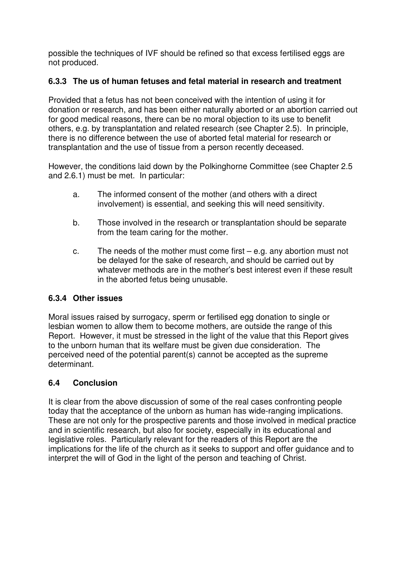possible the techniques of IVF should be refined so that excess fertilised eggs are not produced.

## **6.3.3 The us of human fetuses and fetal material in research and treatment**

Provided that a fetus has not been conceived with the intention of using it for donation or research, and has been either naturally aborted or an abortion carried out for good medical reasons, there can be no moral objection to its use to benefit others, e.g. by transplantation and related research (see Chapter 2.5). In principle, there is no difference between the use of aborted fetal material for research or transplantation and the use of tissue from a person recently deceased.

However, the conditions laid down by the Polkinghorne Committee (see Chapter 2.5 and 2.6.1) must be met. In particular:

- a. The informed consent of the mother (and others with a direct involvement) is essential, and seeking this will need sensitivity.
- b. Those involved in the research or transplantation should be separate from the team caring for the mother.
- c. The needs of the mother must come first e.g. any abortion must not be delayed for the sake of research, and should be carried out by whatever methods are in the mother's best interest even if these result in the aborted fetus being unusable.

### **6.3.4 Other issues**

Moral issues raised by surrogacy, sperm or fertilised egg donation to single or lesbian women to allow them to become mothers, are outside the range of this Report. However, it must be stressed in the light of the value that this Report gives to the unborn human that its welfare must be given due consideration. The perceived need of the potential parent(s) cannot be accepted as the supreme determinant.

# **6.4 Conclusion**

It is clear from the above discussion of some of the real cases confronting people today that the acceptance of the unborn as human has wide-ranging implications. These are not only for the prospective parents and those involved in medical practice and in scientific research, but also for society, especially in its educational and legislative roles. Particularly relevant for the readers of this Report are the implications for the life of the church as it seeks to support and offer guidance and to interpret the will of God in the light of the person and teaching of Christ.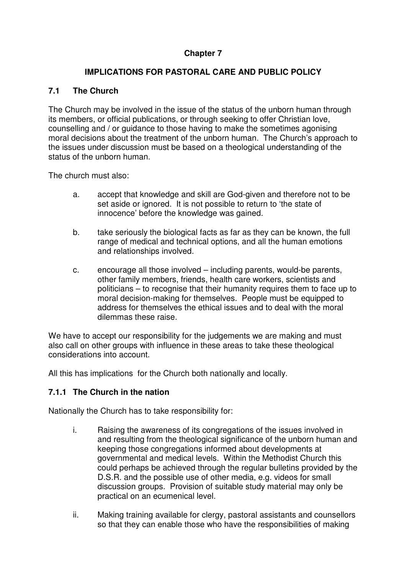# **Chapter 7**

### **IMPLICATIONS FOR PASTORAL CARE AND PUBLIC POLICY**

### **7.1 The Church**

The Church may be involved in the issue of the status of the unborn human through its members, or official publications, or through seeking to offer Christian love, counselling and / or guidance to those having to make the sometimes agonising moral decisions about the treatment of the unborn human. The Church's approach to the issues under discussion must be based on a theological understanding of the status of the unborn human.

The church must also:

- a. accept that knowledge and skill are God-given and therefore not to be set aside or ignored. It is not possible to return to 'the state of innocence' before the knowledge was gained.
- b. take seriously the biological facts as far as they can be known, the full range of medical and technical options, and all the human emotions and relationships involved.
- c. encourage all those involved including parents, would-be parents, other family members, friends, health care workers, scientists and politicians – to recognise that their humanity requires them to face up to moral decision-making for themselves. People must be equipped to address for themselves the ethical issues and to deal with the moral dilemmas these raise.

We have to accept our responsibility for the judgements we are making and must also call on other groups with influence in these areas to take these theological considerations into account.

All this has implications for the Church both nationally and locally.

### **7.1.1 The Church in the nation**

Nationally the Church has to take responsibility for:

- i. Raising the awareness of its congregations of the issues involved in and resulting from the theological significance of the unborn human and keeping those congregations informed about developments at governmental and medical levels. Within the Methodist Church this could perhaps be achieved through the regular bulletins provided by the D.S.R. and the possible use of other media, e.g. videos for small discussion groups. Provision of suitable study material may only be practical on an ecumenical level.
- ii. Making training available for clergy, pastoral assistants and counsellors so that they can enable those who have the responsibilities of making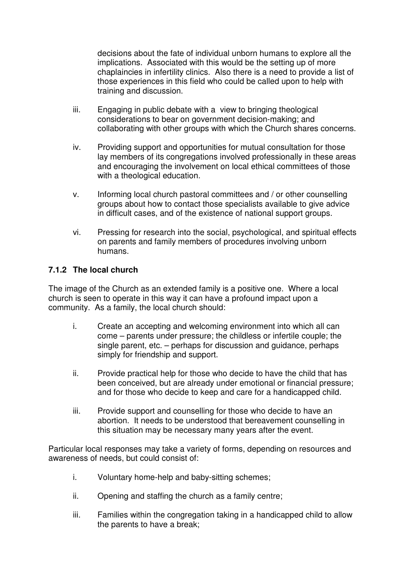decisions about the fate of individual unborn humans to explore all the implications. Associated with this would be the setting up of more chaplaincies in infertility clinics. Also there is a need to provide a list of those experiences in this field who could be called upon to help with training and discussion.

- iii. Engaging in public debate with a view to bringing theological considerations to bear on government decision-making; and collaborating with other groups with which the Church shares concerns.
- iv. Providing support and opportunities for mutual consultation for those lay members of its congregations involved professionally in these areas and encouraging the involvement on local ethical committees of those with a theological education.
- v. Informing local church pastoral committees and / or other counselling groups about how to contact those specialists available to give advice in difficult cases, and of the existence of national support groups.
- vi. Pressing for research into the social, psychological, and spiritual effects on parents and family members of procedures involving unborn humans.

## **7.1.2 The local church**

The image of the Church as an extended family is a positive one. Where a local church is seen to operate in this way it can have a profound impact upon a community. As a family, the local church should:

- i. Create an accepting and welcoming environment into which all can come – parents under pressure; the childless or infertile couple; the single parent, etc. – perhaps for discussion and guidance, perhaps simply for friendship and support.
- ii. Provide practical help for those who decide to have the child that has been conceived, but are already under emotional or financial pressure; and for those who decide to keep and care for a handicapped child.
- iii. Provide support and counselling for those who decide to have an abortion. It needs to be understood that bereavement counselling in this situation may be necessary many years after the event.

Particular local responses may take a variety of forms, depending on resources and awareness of needs, but could consist of:

- i. Voluntary home-help and baby-sitting schemes;
- ii. Opening and staffing the church as a family centre;
- iii. Families within the congregation taking in a handicapped child to allow the parents to have a break;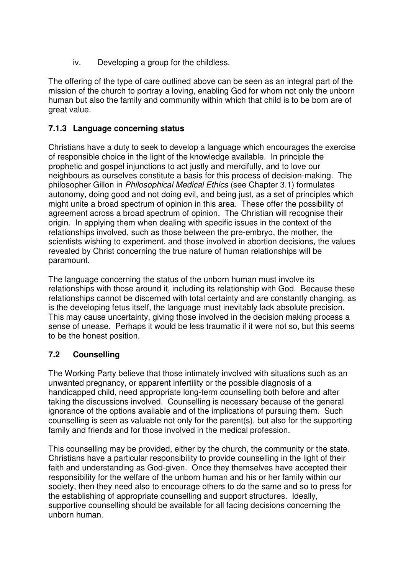iv. Developing a group for the childless.

The offering of the type of care outlined above can be seen as an integral part of the mission of the church to portray a loving, enabling God for whom not only the unborn human but also the family and community within which that child is to be born are of great value.

# **7.1.3 Language concerning status**

Christians have a duty to seek to develop a language which encourages the exercise of responsible choice in the light of the knowledge available. In principle the prophetic and gospel injunctions to act justly and mercifully, and to love our neighbours as ourselves constitute a basis for this process of decision-making. The philosopher Gillon in Philosophical Medical Ethics (see Chapter 3.1) formulates autonomy, doing good and not doing evil, and being just, as a set of principles which might unite a broad spectrum of opinion in this area. These offer the possibility of agreement across a broad spectrum of opinion. The Christian will recognise their origin. In applying them when dealing with specific issues in the context of the relationships involved, such as those between the pre-embryo, the mother, the scientists wishing to experiment, and those involved in abortion decisions, the values revealed by Christ concerning the true nature of human relationships will be paramount.

The language concerning the status of the unborn human must involve its relationships with those around it, including its relationship with God. Because these relationships cannot be discerned with total certainty and are constantly changing, as is the developing fetus itself, the language must inevitably lack absolute precision. This may cause uncertainty, giving those involved in the decision making process a sense of unease. Perhaps it would be less traumatic if it were not so, but this seems to be the honest position.

# **7.2 Counselling**

The Working Party believe that those intimately involved with situations such as an unwanted pregnancy, or apparent infertility or the possible diagnosis of a handicapped child, need appropriate long-term counselling both before and after taking the discussions involved. Counselling is necessary because of the general ignorance of the options available and of the implications of pursuing them. Such counselling is seen as valuable not only for the parent(s), but also for the supporting family and friends and for those involved in the medical profession.

This counselling may be provided, either by the church, the community or the state. Christians have a particular responsibility to provide counselling in the light of their faith and understanding as God-given. Once they themselves have accepted their responsibility for the welfare of the unborn human and his or her family within our society, then they need also to encourage others to do the same and so to press for the establishing of appropriate counselling and support structures. Ideally, supportive counselling should be available for all facing decisions concerning the unborn human.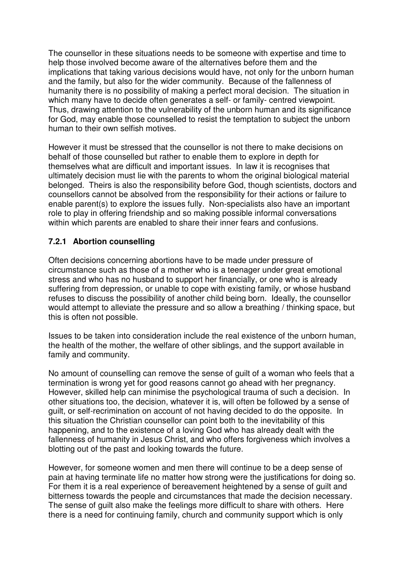The counsellor in these situations needs to be someone with expertise and time to help those involved become aware of the alternatives before them and the implications that taking various decisions would have, not only for the unborn human and the family, but also for the wider community. Because of the fallenness of humanity there is no possibility of making a perfect moral decision. The situation in which many have to decide often generates a self- or family- centred viewpoint. Thus, drawing attention to the vulnerability of the unborn human and its significance for God, may enable those counselled to resist the temptation to subject the unborn human to their own selfish motives.

However it must be stressed that the counsellor is not there to make decisions on behalf of those counselled but rather to enable them to explore in depth for themselves what are difficult and important issues. In law it is recognises that ultimately decision must lie with the parents to whom the original biological material belonged. Theirs is also the responsibility before God, though scientists, doctors and counsellors cannot be absolved from the responsibility for their actions or failure to enable parent(s) to explore the issues fully. Non-specialists also have an important role to play in offering friendship and so making possible informal conversations within which parents are enabled to share their inner fears and confusions.

## **7.2.1 Abortion counselling**

Often decisions concerning abortions have to be made under pressure of circumstance such as those of a mother who is a teenager under great emotional stress and who has no husband to support her financially, or one who is already suffering from depression, or unable to cope with existing family, or whose husband refuses to discuss the possibility of another child being born. Ideally, the counsellor would attempt to alleviate the pressure and so allow a breathing / thinking space, but this is often not possible.

Issues to be taken into consideration include the real existence of the unborn human, the health of the mother, the welfare of other siblings, and the support available in family and community.

No amount of counselling can remove the sense of guilt of a woman who feels that a termination is wrong yet for good reasons cannot go ahead with her pregnancy. However, skilled help can minimise the psychological trauma of such a decision. In other situations too, the decision, whatever it is, will often be followed by a sense of guilt, or self-recrimination on account of not having decided to do the opposite. In this situation the Christian counsellor can point both to the inevitability of this happening, and to the existence of a loving God who has already dealt with the fallenness of humanity in Jesus Christ, and who offers forgiveness which involves a blotting out of the past and looking towards the future.

However, for someone women and men there will continue to be a deep sense of pain at having terminate life no matter how strong were the justifications for doing so. For them it is a real experience of bereavement heightened by a sense of guilt and bitterness towards the people and circumstances that made the decision necessary. The sense of guilt also make the feelings more difficult to share with others. Here there is a need for continuing family, church and community support which is only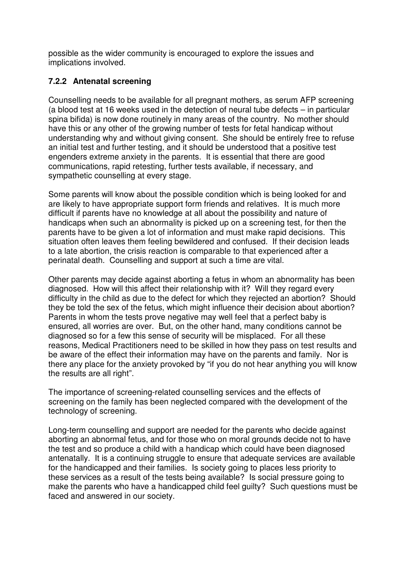possible as the wider community is encouraged to explore the issues and implications involved.

# **7.2.2 Antenatal screening**

Counselling needs to be available for all pregnant mothers, as serum AFP screening (a blood test at 16 weeks used in the detection of neural tube defects – in particular spina bifida) is now done routinely in many areas of the country. No mother should have this or any other of the growing number of tests for fetal handicap without understanding why and without giving consent. She should be entirely free to refuse an initial test and further testing, and it should be understood that a positive test engenders extreme anxiety in the parents. It is essential that there are good communications, rapid retesting, further tests available, if necessary, and sympathetic counselling at every stage.

Some parents will know about the possible condition which is being looked for and are likely to have appropriate support form friends and relatives. It is much more difficult if parents have no knowledge at all about the possibility and nature of handicaps when such an abnormality is picked up on a screening test, for then the parents have to be given a lot of information and must make rapid decisions. This situation often leaves them feeling bewildered and confused. If their decision leads to a late abortion, the crisis reaction is comparable to that experienced after a perinatal death. Counselling and support at such a time are vital.

Other parents may decide against aborting a fetus in whom an abnormality has been diagnosed. How will this affect their relationship with it? Will they regard every difficulty in the child as due to the defect for which they rejected an abortion? Should they be told the sex of the fetus, which might influence their decision about abortion? Parents in whom the tests prove negative may well feel that a perfect baby is ensured, all worries are over. But, on the other hand, many conditions cannot be diagnosed so for a few this sense of security will be misplaced. For all these reasons, Medical Practitioners need to be skilled in how they pass on test results and be aware of the effect their information may have on the parents and family. Nor is there any place for the anxiety provoked by "if you do not hear anything you will know the results are all right".

The importance of screening-related counselling services and the effects of screening on the family has been neglected compared with the development of the technology of screening.

Long-term counselling and support are needed for the parents who decide against aborting an abnormal fetus, and for those who on moral grounds decide not to have the test and so produce a child with a handicap which could have been diagnosed antenatally. It is a continuing struggle to ensure that adequate services are available for the handicapped and their families. Is society going to places less priority to these services as a result of the tests being available? Is social pressure going to make the parents who have a handicapped child feel guilty? Such questions must be faced and answered in our society.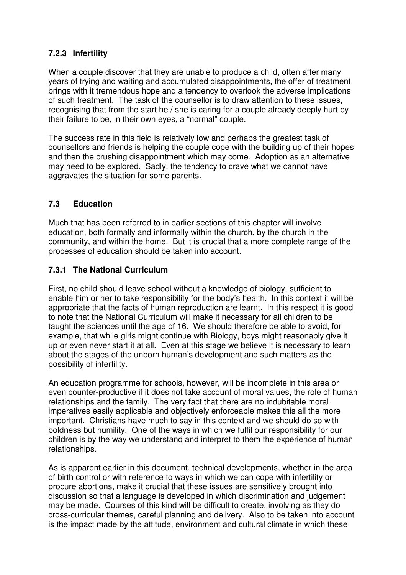# **7.2.3 Infertility**

When a couple discover that they are unable to produce a child, often after many years of trying and waiting and accumulated disappointments, the offer of treatment brings with it tremendous hope and a tendency to overlook the adverse implications of such treatment. The task of the counsellor is to draw attention to these issues, recognising that from the start he / she is caring for a couple already deeply hurt by their failure to be, in their own eyes, a "normal" couple.

The success rate in this field is relatively low and perhaps the greatest task of counsellors and friends is helping the couple cope with the building up of their hopes and then the crushing disappointment which may come. Adoption as an alternative may need to be explored. Sadly, the tendency to crave what we cannot have aggravates the situation for some parents.

### **7.3 Education**

Much that has been referred to in earlier sections of this chapter will involve education, both formally and informally within the church, by the church in the community, and within the home. But it is crucial that a more complete range of the processes of education should be taken into account.

## **7.3.1 The National Curriculum**

First, no child should leave school without a knowledge of biology, sufficient to enable him or her to take responsibility for the body's health. In this context it will be appropriate that the facts of human reproduction are learnt. In this respect it is good to note that the National Curriculum will make it necessary for all children to be taught the sciences until the age of 16. We should therefore be able to avoid, for example, that while girls might continue with Biology, boys might reasonably give it up or even never start it at all. Even at this stage we believe it is necessary to learn about the stages of the unborn human's development and such matters as the possibility of infertility.

An education programme for schools, however, will be incomplete in this area or even counter-productive if it does not take account of moral values, the role of human relationships and the family. The very fact that there are no indubitable moral imperatives easily applicable and objectively enforceable makes this all the more important. Christians have much to say in this context and we should do so with boldness but humility. One of the ways in which we fulfil our responsibility for our children is by the way we understand and interpret to them the experience of human relationships.

As is apparent earlier in this document, technical developments, whether in the area of birth control or with reference to ways in which we can cope with infertility or procure abortions, make it crucial that these issues are sensitively brought into discussion so that a language is developed in which discrimination and judgement may be made. Courses of this kind will be difficult to create, involving as they do cross-curricular themes, careful planning and delivery. Also to be taken into account is the impact made by the attitude, environment and cultural climate in which these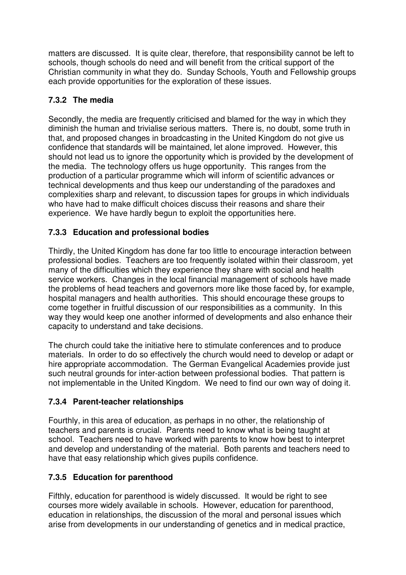matters are discussed. It is quite clear, therefore, that responsibility cannot be left to schools, though schools do need and will benefit from the critical support of the Christian community in what they do. Sunday Schools, Youth and Fellowship groups each provide opportunities for the exploration of these issues.

# **7.3.2 The media**

Secondly, the media are frequently criticised and blamed for the way in which they diminish the human and trivialise serious matters. There is, no doubt, some truth in that, and proposed changes in broadcasting in the United Kingdom do not give us confidence that standards will be maintained, let alone improved. However, this should not lead us to ignore the opportunity which is provided by the development of the media. The technology offers us huge opportunity. This ranges from the production of a particular programme which will inform of scientific advances or technical developments and thus keep our understanding of the paradoxes and complexities sharp and relevant, to discussion tapes for groups in which individuals who have had to make difficult choices discuss their reasons and share their experience. We have hardly begun to exploit the opportunities here.

# **7.3.3 Education and professional bodies**

Thirdly, the United Kingdom has done far too little to encourage interaction between professional bodies. Teachers are too frequently isolated within their classroom, yet many of the difficulties which they experience they share with social and health service workers. Changes in the local financial management of schools have made the problems of head teachers and governors more like those faced by, for example, hospital managers and health authorities. This should encourage these groups to come together in fruitful discussion of our responsibilities as a community. In this way they would keep one another informed of developments and also enhance their capacity to understand and take decisions.

The church could take the initiative here to stimulate conferences and to produce materials. In order to do so effectively the church would need to develop or adapt or hire appropriate accommodation. The German Evangelical Academies provide just such neutral grounds for inter-action between professional bodies. That pattern is not implementable in the United Kingdom. We need to find our own way of doing it.

# **7.3.4 Parent-teacher relationships**

Fourthly, in this area of education, as perhaps in no other, the relationship of teachers and parents is crucial. Parents need to know what is being taught at school. Teachers need to have worked with parents to know how best to interpret and develop and understanding of the material. Both parents and teachers need to have that easy relationship which gives pupils confidence.

# **7.3.5 Education for parenthood**

Fifthly, education for parenthood is widely discussed. It would be right to see courses more widely available in schools. However, education for parenthood, education in relationships, the discussion of the moral and personal issues which arise from developments in our understanding of genetics and in medical practice,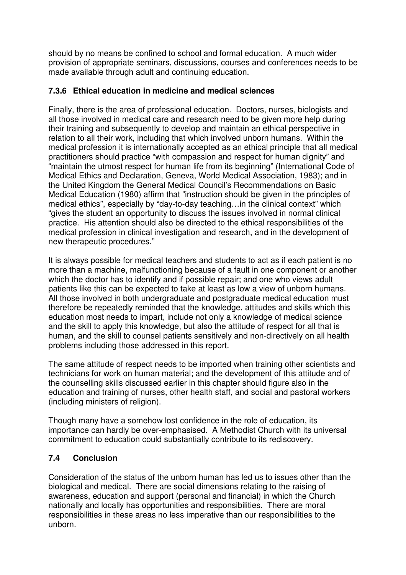should by no means be confined to school and formal education. A much wider provision of appropriate seminars, discussions, courses and conferences needs to be made available through adult and continuing education.

## **7.3.6 Ethical education in medicine and medical sciences**

Finally, there is the area of professional education. Doctors, nurses, biologists and all those involved in medical care and research need to be given more help during their training and subsequently to develop and maintain an ethical perspective in relation to all their work, including that which involved unborn humans. Within the medical profession it is internationally accepted as an ethical principle that all medical practitioners should practice "with compassion and respect for human dignity" and "maintain the utmost respect for human life from its beginning" (International Code of Medical Ethics and Declaration, Geneva, World Medical Association, 1983); and in the United Kingdom the General Medical Council's Recommendations on Basic Medical Education (1980) affirm that "instruction should be given in the principles of medical ethics", especially by "day-to-day teaching…in the clinical context" which "gives the student an opportunity to discuss the issues involved in normal clinical practice. His attention should also be directed to the ethical responsibilities of the medical profession in clinical investigation and research, and in the development of new therapeutic procedures."

It is always possible for medical teachers and students to act as if each patient is no more than a machine, malfunctioning because of a fault in one component or another which the doctor has to identify and if possible repair; and one who views adult patients like this can be expected to take at least as low a view of unborn humans. All those involved in both undergraduate and postgraduate medical education must therefore be repeatedly reminded that the knowledge, attitudes and skills which this education most needs to impart, include not only a knowledge of medical science and the skill to apply this knowledge, but also the attitude of respect for all that is human, and the skill to counsel patients sensitively and non-directively on all health problems including those addressed in this report.

The same attitude of respect needs to be imported when training other scientists and technicians for work on human material; and the development of this attitude and of the counselling skills discussed earlier in this chapter should figure also in the education and training of nurses, other health staff, and social and pastoral workers (including ministers of religion).

Though many have a somehow lost confidence in the role of education, its importance can hardly be over-emphasised. A Methodist Church with its universal commitment to education could substantially contribute to its rediscovery.

# **7.4 Conclusion**

Consideration of the status of the unborn human has led us to issues other than the biological and medical. There are social dimensions relating to the raising of awareness, education and support (personal and financial) in which the Church nationally and locally has opportunities and responsibilities. There are moral responsibilities in these areas no less imperative than our responsibilities to the unborn.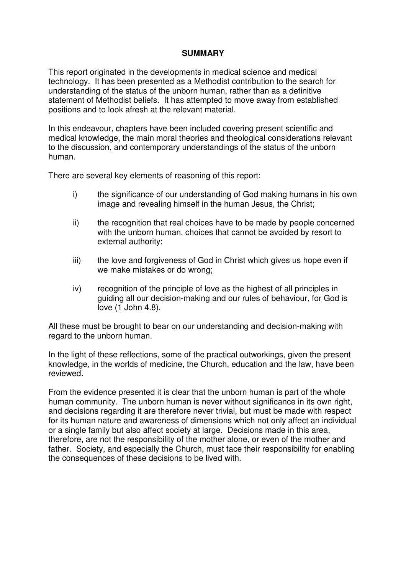#### **SUMMARY**

This report originated in the developments in medical science and medical technology. It has been presented as a Methodist contribution to the search for understanding of the status of the unborn human, rather than as a definitive statement of Methodist beliefs. It has attempted to move away from established positions and to look afresh at the relevant material.

In this endeavour, chapters have been included covering present scientific and medical knowledge, the main moral theories and theological considerations relevant to the discussion, and contemporary understandings of the status of the unborn human.

There are several key elements of reasoning of this report:

- i) the significance of our understanding of God making humans in his own image and revealing himself in the human Jesus, the Christ;
- ii) the recognition that real choices have to be made by people concerned with the unborn human, choices that cannot be avoided by resort to external authority;
- iii) the love and forgiveness of God in Christ which gives us hope even if we make mistakes or do wrong;
- iv) recognition of the principle of love as the highest of all principles in guiding all our decision-making and our rules of behaviour, for God is love (1 John 4.8).

All these must be brought to bear on our understanding and decision-making with regard to the unborn human.

In the light of these reflections, some of the practical outworkings, given the present knowledge, in the worlds of medicine, the Church, education and the law, have been reviewed.

From the evidence presented it is clear that the unborn human is part of the whole human community. The unborn human is never without significance in its own right, and decisions regarding it are therefore never trivial, but must be made with respect for its human nature and awareness of dimensions which not only affect an individual or a single family but also affect society at large. Decisions made in this area, therefore, are not the responsibility of the mother alone, or even of the mother and father. Society, and especially the Church, must face their responsibility for enabling the consequences of these decisions to be lived with.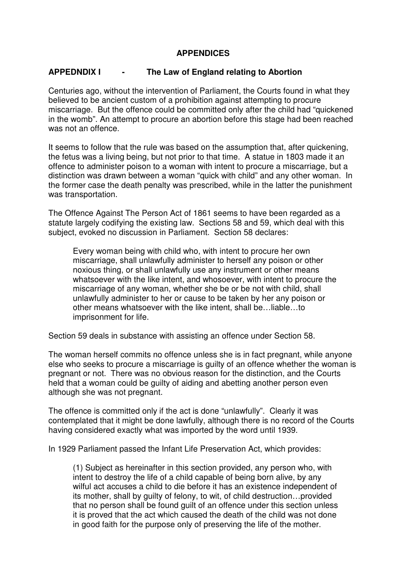### **APPENDICES**

### **APPEDNDIX I - The Law of England relating to Abortion**

Centuries ago, without the intervention of Parliament, the Courts found in what they believed to be ancient custom of a prohibition against attempting to procure miscarriage. But the offence could be committed only after the child had "quickened in the womb". An attempt to procure an abortion before this stage had been reached was not an offence.

It seems to follow that the rule was based on the assumption that, after quickening, the fetus was a living being, but not prior to that time. A statue in 1803 made it an offence to administer poison to a woman with intent to procure a miscarriage, but a distinction was drawn between a woman "quick with child" and any other woman. In the former case the death penalty was prescribed, while in the latter the punishment was transportation.

The Offence Against The Person Act of 1861 seems to have been regarded as a statute largely codifying the existing law. Sections 58 and 59, which deal with this subject, evoked no discussion in Parliament. Section 58 declares:

Every woman being with child who, with intent to procure her own miscarriage, shall unlawfully administer to herself any poison or other noxious thing, or shall unlawfully use any instrument or other means whatsoever with the like intent, and whosoever, with intent to procure the miscarriage of any woman, whether she be or be not with child, shall unlawfully administer to her or cause to be taken by her any poison or other means whatsoever with the like intent, shall be…liable…to imprisonment for life.

Section 59 deals in substance with assisting an offence under Section 58.

The woman herself commits no offence unless she is in fact pregnant, while anyone else who seeks to procure a miscarriage is guilty of an offence whether the woman is pregnant or not. There was no obvious reason for the distinction, and the Courts held that a woman could be guilty of aiding and abetting another person even although she was not pregnant.

The offence is committed only if the act is done "unlawfully". Clearly it was contemplated that it might be done lawfully, although there is no record of the Courts having considered exactly what was imported by the word until 1939.

In 1929 Parliament passed the Infant Life Preservation Act, which provides:

(1) Subject as hereinafter in this section provided, any person who, with intent to destroy the life of a child capable of being born alive, by any wilful act accuses a child to die before it has an existence independent of its mother, shall by guilty of felony, to wit, of child destruction…provided that no person shall be found guilt of an offence under this section unless it is proved that the act which caused the death of the child was not done in good faith for the purpose only of preserving the life of the mother.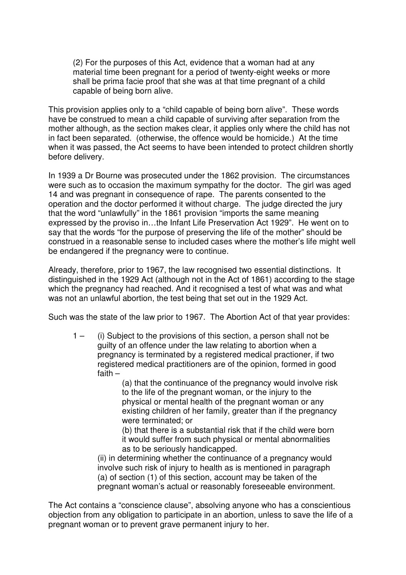(2) For the purposes of this Act, evidence that a woman had at any material time been pregnant for a period of twenty-eight weeks or more shall be prima facie proof that she was at that time pregnant of a child capable of being born alive.

This provision applies only to a "child capable of being born alive". These words have be construed to mean a child capable of surviving after separation from the mother although, as the section makes clear, it applies only where the child has not in fact been separated. (otherwise, the offence would be homicide.) At the time when it was passed, the Act seems to have been intended to protect children shortly before delivery.

In 1939 a Dr Bourne was prosecuted under the 1862 provision. The circumstances were such as to occasion the maximum sympathy for the doctor. The girl was aged 14 and was pregnant in consequence of rape. The parents consented to the operation and the doctor performed it without charge. The judge directed the jury that the word "unlawfully" in the 1861 provision "imports the same meaning expressed by the proviso in…the Infant Life Preservation Act 1929". He went on to say that the words "for the purpose of preserving the life of the mother" should be construed in a reasonable sense to included cases where the mother's life might well be endangered if the pregnancy were to continue.

Already, therefore, prior to 1967, the law recognised two essential distinctions. It distinguished in the 1929 Act (although not in the Act of 1861) according to the stage which the pregnancy had reached. And it recognised a test of what was and what was not an unlawful abortion, the test being that set out in the 1929 Act.

Such was the state of the law prior to 1967. The Abortion Act of that year provides:

1 – (i) Subject to the provisions of this section, a person shall not be guilty of an offence under the law relating to abortion when a pregnancy is terminated by a registered medical practioner, if two registered medical practitioners are of the opinion, formed in good faith –

(a) that the continuance of the pregnancy would involve risk to the life of the pregnant woman, or the injury to the physical or mental health of the pregnant woman or any existing children of her family, greater than if the pregnancy were terminated; or

(b) that there is a substantial risk that if the child were born it would suffer from such physical or mental abnormalities as to be seriously handicapped.

(ii) in determining whether the continuance of a pregnancy would involve such risk of injury to health as is mentioned in paragraph (a) of section (1) of this section, account may be taken of the pregnant woman's actual or reasonably foreseeable environment.

The Act contains a "conscience clause", absolving anyone who has a conscientious objection from any obligation to participate in an abortion, unless to save the life of a pregnant woman or to prevent grave permanent injury to her.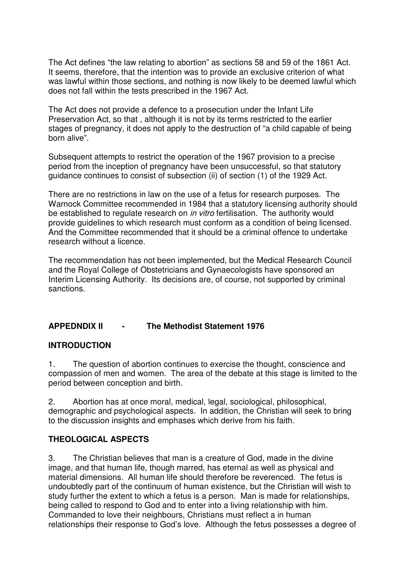The Act defines "the law relating to abortion" as sections 58 and 59 of the 1861 Act. It seems, therefore, that the intention was to provide an exclusive criterion of what was lawful within those sections, and nothing is now likely to be deemed lawful which does not fall within the tests prescribed in the 1967 Act.

The Act does not provide a defence to a prosecution under the Infant Life Preservation Act, so that , although it is not by its terms restricted to the earlier stages of pregnancy, it does not apply to the destruction of "a child capable of being born alive".

Subsequent attempts to restrict the operation of the 1967 provision to a precise period from the inception of pregnancy have been unsuccessful, so that statutory guidance continues to consist of subsection (ii) of section (1) of the 1929 Act.

There are no restrictions in law on the use of a fetus for research purposes. The Warnock Committee recommended in 1984 that a statutory licensing authority should be established to regulate research on *in vitro* fertilisation. The authority would provide guidelines to which research must conform as a condition of being licensed. And the Committee recommended that it should be a criminal offence to undertake research without a licence.

The recommendation has not been implemented, but the Medical Research Council and the Royal College of Obstetricians and Gynaecologists have sponsored an Interim Licensing Authority. Its decisions are, of course, not supported by criminal sanctions.

# **APPEDNDIX II - The Methodist Statement 1976**

### **INTRODUCTION**

1. The question of abortion continues to exercise the thought, conscience and compassion of men and women. The area of the debate at this stage is limited to the period between conception and birth.

2. Abortion has at once moral, medical, legal, sociological, philosophical, demographic and psychological aspects. In addition, the Christian will seek to bring to the discussion insights and emphases which derive from his faith.

### **THEOLOGICAL ASPECTS**

3. The Christian believes that man is a creature of God, made in the divine image, and that human life, though marred, has eternal as well as physical and material dimensions. All human life should therefore be reverenced. The fetus is undoubtedly part of the continuum of human existence, but the Christian will wish to study further the extent to which a fetus is a person. Man is made for relationships, being called to respond to God and to enter into a living relationship with him. Commanded to love their neighbours, Christians must reflect a in human relationships their response to God's love. Although the fetus possesses a degree of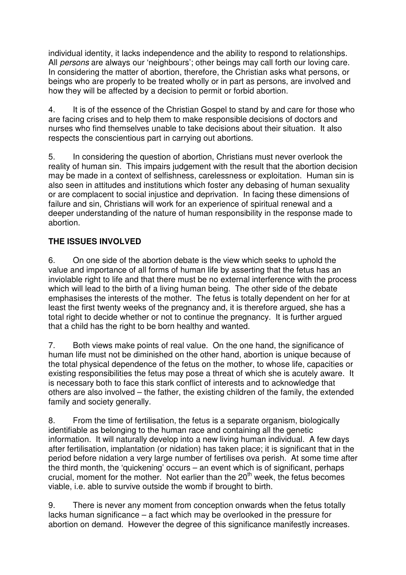individual identity, it lacks independence and the ability to respond to relationships. All persons are always our 'neighbours'; other beings may call forth our loving care. In considering the matter of abortion, therefore, the Christian asks what persons, or beings who are properly to be treated wholly or in part as persons, are involved and how they will be affected by a decision to permit or forbid abortion.

4. It is of the essence of the Christian Gospel to stand by and care for those who are facing crises and to help them to make responsible decisions of doctors and nurses who find themselves unable to take decisions about their situation. It also respects the conscientious part in carrying out abortions.

5. In considering the question of abortion, Christians must never overlook the reality of human sin. This impairs judgement with the result that the abortion decision may be made in a context of selfishness, carelessness or exploitation. Human sin is also seen in attitudes and institutions which foster any debasing of human sexuality or are complacent to social injustice and deprivation. In facing these dimensions of failure and sin, Christians will work for an experience of spiritual renewal and a deeper understanding of the nature of human responsibility in the response made to abortion.

## **THE ISSUES INVOLVED**

6. On one side of the abortion debate is the view which seeks to uphold the value and importance of all forms of human life by asserting that the fetus has an inviolable right to life and that there must be no external interference with the process which will lead to the birth of a living human being. The other side of the debate emphasises the interests of the mother. The fetus is totally dependent on her for at least the first twenty weeks of the pregnancy and, it is therefore argued, she has a total right to decide whether or not to continue the pregnancy. It is further argued that a child has the right to be born healthy and wanted.

7. Both views make points of real value. On the one hand, the significance of human life must not be diminished on the other hand, abortion is unique because of the total physical dependence of the fetus on the mother, to whose life, capacities or existing responsibilities the fetus may pose a threat of which she is acutely aware. It is necessary both to face this stark conflict of interests and to acknowledge that others are also involved – the father, the existing children of the family, the extended family and society generally.

8. From the time of fertilisation, the fetus is a separate organism, biologically identifiable as belonging to the human race and containing all the genetic information. It will naturally develop into a new living human individual. A few days after fertilisation, implantation (or nidation) has taken place; it is significant that in the period before nidation a very large number of fertilises ova perish. At some time after the third month, the 'quickening' occurs – an event which is of significant, perhaps crucial, moment for the mother. Not earlier than the 20<sup>th</sup> week, the fetus becomes viable, i.e. able to survive outside the womb if brought to birth.

9. There is never any moment from conception onwards when the fetus totally lacks human significance – a fact which may be overlooked in the pressure for abortion on demand. However the degree of this significance manifestly increases.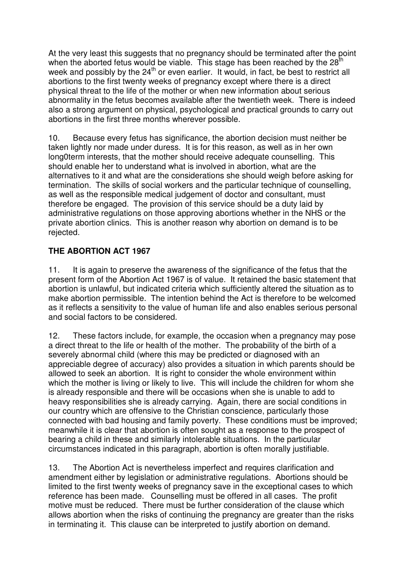At the very least this suggests that no pregnancy should be terminated after the point when the aborted fetus would be viable. This stage has been reached by the  $28<sup>th</sup>$ week and possibly by the 24<sup>th</sup> or even earlier. It would, in fact, be best to restrict all abortions to the first twenty weeks of pregnancy except where there is a direct physical threat to the life of the mother or when new information about serious abnormality in the fetus becomes available after the twentieth week. There is indeed also a strong argument on physical, psychological and practical grounds to carry out abortions in the first three months wherever possible.

10. Because every fetus has significance, the abortion decision must neither be taken lightly nor made under duress. It is for this reason, as well as in her own long0term interests, that the mother should receive adequate counselling. This should enable her to understand what is involved in abortion, what are the alternatives to it and what are the considerations she should weigh before asking for termination. The skills of social workers and the particular technique of counselling, as well as the responsible medical judgement of doctor and consultant, must therefore be engaged. The provision of this service should be a duty laid by administrative regulations on those approving abortions whether in the NHS or the private abortion clinics. This is another reason why abortion on demand is to be rejected.

## **THE ABORTION ACT 1967**

11. It is again to preserve the awareness of the significance of the fetus that the present form of the Abortion Act 1967 is of value. It retained the basic statement that abortion is unlawful, but indicated criteria which sufficiently altered the situation as to make abortion permissible. The intention behind the Act is therefore to be welcomed as it reflects a sensitivity to the value of human life and also enables serious personal and social factors to be considered.

12. These factors include, for example, the occasion when a pregnancy may pose a direct threat to the life or health of the mother. The probability of the birth of a severely abnormal child (where this may be predicted or diagnosed with an appreciable degree of accuracy) also provides a situation in which parents should be allowed to seek an abortion. It is right to consider the whole environment within which the mother is living or likely to live. This will include the children for whom she is already responsible and there will be occasions when she is unable to add to heavy responsibilities she is already carrying. Again, there are social conditions in our country which are offensive to the Christian conscience, particularly those connected with bad housing and family poverty. These conditions must be improved; meanwhile it is clear that abortion is often sought as a response to the prospect of bearing a child in these and similarly intolerable situations. In the particular circumstances indicated in this paragraph, abortion is often morally justifiable.

13. The Abortion Act is nevertheless imperfect and requires clarification and amendment either by legislation or administrative regulations. Abortions should be limited to the first twenty weeks of pregnancy save in the exceptional cases to which reference has been made. Counselling must be offered in all cases. The profit motive must be reduced. There must be further consideration of the clause which allows abortion when the risks of continuing the pregnancy are greater than the risks in terminating it. This clause can be interpreted to justify abortion on demand.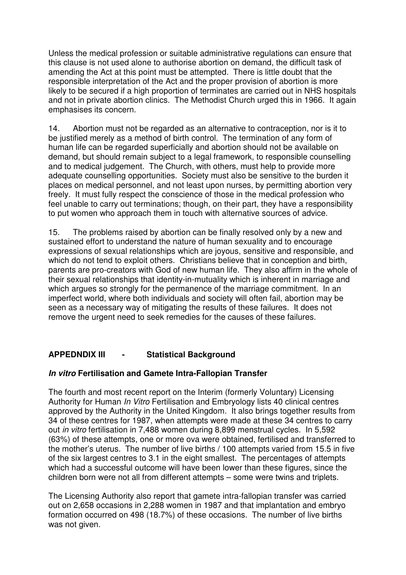Unless the medical profession or suitable administrative regulations can ensure that this clause is not used alone to authorise abortion on demand, the difficult task of amending the Act at this point must be attempted. There is little doubt that the responsible interpretation of the Act and the proper provision of abortion is more likely to be secured if a high proportion of terminates are carried out in NHS hospitals and not in private abortion clinics. The Methodist Church urged this in 1966. It again emphasises its concern.

14. Abortion must not be regarded as an alternative to contraception, nor is it to be justified merely as a method of birth control. The termination of any form of human life can be regarded superficially and abortion should not be available on demand, but should remain subject to a legal framework, to responsible counselling and to medical judgement. The Church, with others, must help to provide more adequate counselling opportunities. Society must also be sensitive to the burden it places on medical personnel, and not least upon nurses, by permitting abortion very freely. It must fully respect the conscience of those in the medical profession who feel unable to carry out terminations; though, on their part, they have a responsibility to put women who approach them in touch with alternative sources of advice.

15. The problems raised by abortion can be finally resolved only by a new and sustained effort to understand the nature of human sexuality and to encourage expressions of sexual relationships which are joyous, sensitive and responsible, and which do not tend to exploit others. Christians believe that in conception and birth, parents are pro-creators with God of new human life. They also affirm in the whole of their sexual relationships that identity-in-mutuality which is inherent in marriage and which argues so strongly for the permanence of the marriage commitment. In an imperfect world, where both individuals and society will often fail, abortion may be seen as a necessary way of mitigating the results of these failures. It does not remove the urgent need to seek remedies for the causes of these failures.

### **APPEDNDIX III - Statistical Background**

### **In vitro Fertilisation and Gamete Intra-Fallopian Transfer**

The fourth and most recent report on the Interim (formerly Voluntary) Licensing Authority for Human *In Vitro* Fertilisation and Embryology lists 40 clinical centres approved by the Authority in the United Kingdom. It also brings together results from 34 of these centres for 1987, when attempts were made at these 34 centres to carry out in vitro fertilisation in 7,488 women during 8,899 menstrual cycles. In 5,592 (63%) of these attempts, one or more ova were obtained, fertilised and transferred to the mother's uterus. The number of live births / 100 attempts varied from 15.5 in five of the six largest centres to 3.1 in the eight smallest. The percentages of attempts which had a successful outcome will have been lower than these figures, since the children born were not all from different attempts – some were twins and triplets.

The Licensing Authority also report that gamete intra-fallopian transfer was carried out on 2,658 occasions in 2,288 women in 1987 and that implantation and embryo formation occurred on 498 (18.7%) of these occasions. The number of live births was not given.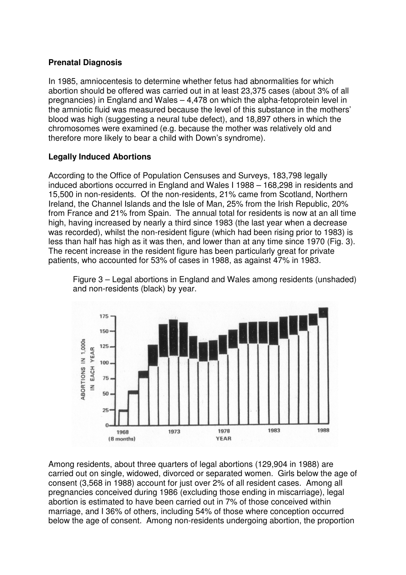### **Prenatal Diagnosis**

In 1985, amniocentesis to determine whether fetus had abnormalities for which abortion should be offered was carried out in at least 23,375 cases (about 3% of all pregnancies) in England and Wales – 4,478 on which the alpha-fetoprotein level in the amniotic fluid was measured because the level of this substance in the mothers' blood was high (suggesting a neural tube defect), and 18,897 others in which the chromosomes were examined (e.g. because the mother was relatively old and therefore more likely to bear a child with Down's syndrome).

## **Legally Induced Abortions**

According to the Office of Population Censuses and Surveys, 183,798 legally induced abortions occurred in England and Wales I 1988 – 168,298 in residents and 15,500 in non-residents. Of the non-residents, 21% came from Scotland, Northern Ireland, the Channel Islands and the Isle of Man, 25% from the Irish Republic, 20% from France and 21% from Spain. The annual total for residents is now at an all time high, having increased by nearly a third since 1983 (the last year when a decrease was recorded), whilst the non-resident figure (which had been rising prior to 1983) is less than half has high as it was then, and lower than at any time since 1970 (Fig. 3). The recent increase in the resident figure has been particularly great for private patients, who accounted for 53% of cases in 1988, as against 47% in 1983.

Figure 3 – Legal abortions in England and Wales among residents (unshaded) and non-residents (black) by year.



Among residents, about three quarters of legal abortions (129,904 in 1988) are carried out on single, widowed, divorced or separated women. Girls below the age of consent (3,568 in 1988) account for just over 2% of all resident cases. Among all pregnancies conceived during 1986 (excluding those ending in miscarriage), legal abortion is estimated to have been carried out in 7% of those conceived within marriage, and I 36% of others, including 54% of those where conception occurred below the age of consent. Among non-residents undergoing abortion, the proportion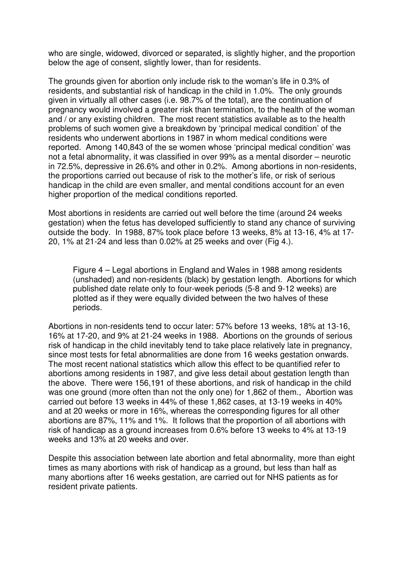who are single, widowed, divorced or separated, is slightly higher, and the proportion below the age of consent, slightly lower, than for residents.

The grounds given for abortion only include risk to the woman's life in 0.3% of residents, and substantial risk of handicap in the child in 1.0%. The only grounds given in virtually all other cases (i.e. 98.7% of the total), are the continuation of pregnancy would involved a greater risk than termination, to the health of the woman and / or any existing children. The most recent statistics available as to the health problems of such women give a breakdown by 'principal medical condition' of the residents who underwent abortions in 1987 in whom medical conditions were reported. Among 140,843 of the se women whose 'principal medical condition' was not a fetal abnormality, it was classified in over 99% as a mental disorder – neurotic in 72.5%, depressive in 26.6% and other in 0.2%. Among abortions in non-residents, the proportions carried out because of risk to the mother's life, or risk of serious handicap in the child are even smaller, and mental conditions account for an even higher proportion of the medical conditions reported.

Most abortions in residents are carried out well before the time (around 24 weeks gestation) when the fetus has developed sufficiently to stand any chance of surviving outside the body. In 1988, 87% took place before 13 weeks, 8% at 13-16, 4% at 17- 20, 1% at 21-24 and less than 0.02% at 25 weeks and over (Fig 4.).

Figure 4 – Legal abortions in England and Wales in 1988 among residents (unshaded) and non-residents (black) by gestation length. Abortions for which published date relate only to four-week periods (5-8 and 9-12 weeks) are plotted as if they were equally divided between the two halves of these periods.

Abortions in non-residents tend to occur later: 57% before 13 weeks, 18% at 13-16, 16% at 17-20, and 9% at 21-24 weeks in 1988. Abortions on the grounds of serious risk of handicap in the child inevitably tend to take place relatively late in pregnancy, since most tests for fetal abnormalities are done from 16 weeks gestation onwards. The most recent national statistics which allow this effect to be quantified refer to abortions among residents in 1987, and give less detail about gestation length than the above. There were 156,191 of these abortions, and risk of handicap in the child was one ground (more often than not the only one) for 1,862 of them., Abortion was carried out before 13 weeks in 44% of these 1,862 cases, at 13-19 weeks in 40% and at 20 weeks or more in 16%, whereas the corresponding figures for all other abortions are 87%, 11% and 1%. It follows that the proportion of all abortions with risk of handicap as a ground increases from 0.6% before 13 weeks to 4% at 13-19 weeks and 13% at 20 weeks and over.

Despite this association between late abortion and fetal abnormality, more than eight times as many abortions with risk of handicap as a ground, but less than half as many abortions after 16 weeks gestation, are carried out for NHS patients as for resident private patients.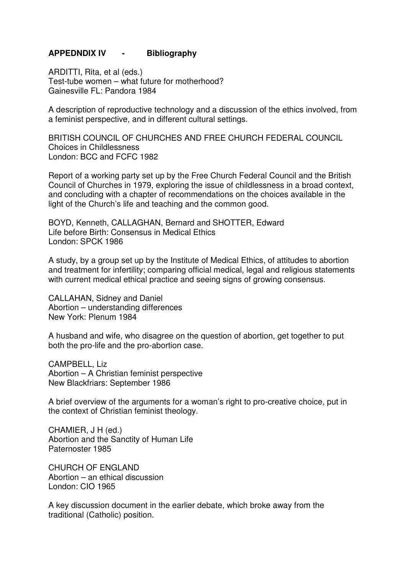#### **APPEDNDIX IV - Bibliography**

ARDITTI, Rita, et al (eds.) Test-tube women – what future for motherhood? Gainesville FL: Pandora 1984

A description of reproductive technology and a discussion of the ethics involved, from a feminist perspective, and in different cultural settings.

BRITISH COUNCIL OF CHURCHES AND FREE CHURCH FEDERAL COUNCIL Choices in Childlessness London: BCC and FCFC 1982

Report of a working party set up by the Free Church Federal Council and the British Council of Churches in 1979, exploring the issue of childlessness in a broad context, and concluding with a chapter of recommendations on the choices available in the light of the Church's life and teaching and the common good.

BOYD, Kenneth, CALLAGHAN, Bernard and SHOTTER, Edward Life before Birth: Consensus in Medical Ethics London: SPCK 1986

A study, by a group set up by the Institute of Medical Ethics, of attitudes to abortion and treatment for infertility; comparing official medical, legal and religious statements with current medical ethical practice and seeing signs of growing consensus.

CALLAHAN, Sidney and Daniel Abortion – understanding differences New York: Plenum 1984

A husband and wife, who disagree on the question of abortion, get together to put both the pro-life and the pro-abortion case.

CAMPBELL, Liz Abortion – A Christian feminist perspective New Blackfriars: September 1986

A brief overview of the arguments for a woman's right to pro-creative choice, put in the context of Christian feminist theology.

CHAMIER, J H (ed.) Abortion and the Sanctity of Human Life Paternoster 1985

CHURCH OF ENGLAND Abortion – an ethical discussion London: CIO 1965

A key discussion document in the earlier debate, which broke away from the traditional (Catholic) position.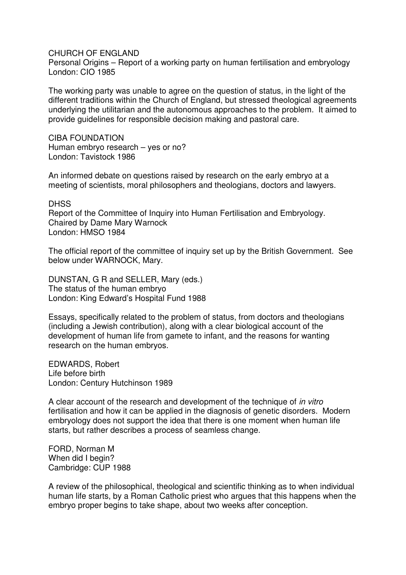#### CHURCH OF ENGLAND

Personal Origins – Report of a working party on human fertilisation and embryology London: CIO 1985

The working party was unable to agree on the question of status, in the light of the different traditions within the Church of England, but stressed theological agreements underlying the utilitarian and the autonomous approaches to the problem. It aimed to provide guidelines for responsible decision making and pastoral care.

CIBA FOUNDATION Human embryo research – yes or no? London: Tavistock 1986

An informed debate on questions raised by research on the early embryo at a meeting of scientists, moral philosophers and theologians, doctors and lawyers.

**DHSS** 

Report of the Committee of Inquiry into Human Fertilisation and Embryology. Chaired by Dame Mary Warnock London: HMSO 1984

The official report of the committee of inquiry set up by the British Government. See below under WARNOCK, Mary.

DUNSTAN, G R and SELLER, Mary (eds.) The status of the human embryo London: King Edward's Hospital Fund 1988

Essays, specifically related to the problem of status, from doctors and theologians (including a Jewish contribution), along with a clear biological account of the development of human life from gamete to infant, and the reasons for wanting research on the human embryos.

EDWARDS, Robert Life before birth London: Century Hutchinson 1989

A clear account of the research and development of the technique of in vitro fertilisation and how it can be applied in the diagnosis of genetic disorders. Modern embryology does not support the idea that there is one moment when human life starts, but rather describes a process of seamless change.

FORD, Norman M When did I begin? Cambridge: CUP 1988

A review of the philosophical, theological and scientific thinking as to when individual human life starts, by a Roman Catholic priest who argues that this happens when the embryo proper begins to take shape, about two weeks after conception.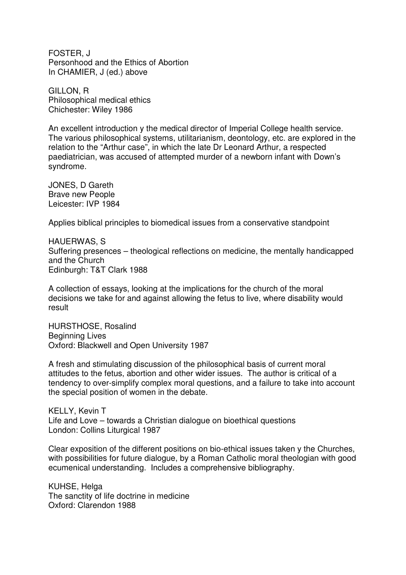FOSTER, J Personhood and the Ethics of Abortion In CHAMIER, J (ed.) above

GILLON, R Philosophical medical ethics Chichester: Wiley 1986

An excellent introduction y the medical director of Imperial College health service. The various philosophical systems, utilitarianism, deontology, etc. are explored in the relation to the "Arthur case", in which the late Dr Leonard Arthur, a respected paediatrician, was accused of attempted murder of a newborn infant with Down's syndrome.

JONES, D Gareth Brave new People Leicester: IVP 1984

Applies biblical principles to biomedical issues from a conservative standpoint

HAUERWAS, S Suffering presences – theological reflections on medicine, the mentally handicapped and the Church Edinburgh: T&T Clark 1988

A collection of essays, looking at the implications for the church of the moral decisions we take for and against allowing the fetus to live, where disability would result

HURSTHOSE, Rosalind Beginning Lives Oxford: Blackwell and Open University 1987

A fresh and stimulating discussion of the philosophical basis of current moral attitudes to the fetus, abortion and other wider issues. The author is critical of a tendency to over-simplify complex moral questions, and a failure to take into account the special position of women in the debate.

KELLY, Kevin T Life and Love – towards a Christian dialogue on bioethical questions London: Collins Liturgical 1987

Clear exposition of the different positions on bio-ethical issues taken y the Churches, with possibilities for future dialogue, by a Roman Catholic moral theologian with good ecumenical understanding. Includes a comprehensive bibliography.

KUHSE, Helga The sanctity of life doctrine in medicine Oxford: Clarendon 1988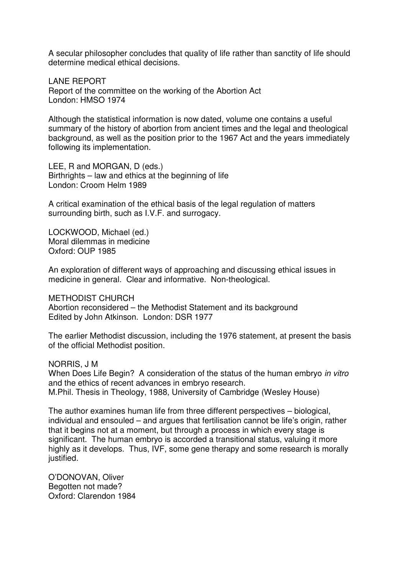A secular philosopher concludes that quality of life rather than sanctity of life should determine medical ethical decisions.

LANE REPORT Report of the committee on the working of the Abortion Act London: HMSO 1974

Although the statistical information is now dated, volume one contains a useful summary of the history of abortion from ancient times and the legal and theological background, as well as the position prior to the 1967 Act and the years immediately following its implementation.

LEE, R and MORGAN, D (eds.) Birthrights – law and ethics at the beginning of life London: Croom Helm 1989

A critical examination of the ethical basis of the legal regulation of matters surrounding birth, such as I.V.F. and surrogacy.

LOCKWOOD, Michael (ed.) Moral dilemmas in medicine Oxford: OUP 1985

An exploration of different ways of approaching and discussing ethical issues in medicine in general. Clear and informative. Non-theological.

METHODIST CHURCH Abortion reconsidered – the Methodist Statement and its background Edited by John Atkinson. London: DSR 1977

The earlier Methodist discussion, including the 1976 statement, at present the basis of the official Methodist position.

NORRIS, J M When Does Life Begin? A consideration of the status of the human embryo in vitro and the ethics of recent advances in embryo research. M.Phil. Thesis in Theology, 1988, University of Cambridge (Wesley House)

The author examines human life from three different perspectives – biological, individual and ensouled – and argues that fertilisation cannot be life's origin, rather that it begins not at a moment, but through a process in which every stage is significant. The human embryo is accorded a transitional status, valuing it more highly as it develops. Thus, IVF, some gene therapy and some research is morally justified.

O'DONOVAN, Oliver Begotten not made? Oxford: Clarendon 1984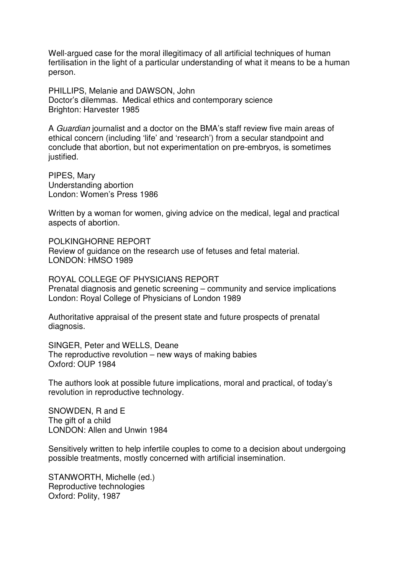Well-argued case for the moral illegitimacy of all artificial techniques of human fertilisation in the light of a particular understanding of what it means to be a human person.

PHILLIPS, Melanie and DAWSON, John Doctor's dilemmas. Medical ethics and contemporary science Brighton: Harvester 1985

A Guardian journalist and a doctor on the BMA's staff review five main areas of ethical concern (including 'life' and 'research') from a secular standpoint and conclude that abortion, but not experimentation on pre-embryos, is sometimes justified.

PIPES, Mary Understanding abortion London: Women's Press 1986

Written by a woman for women, giving advice on the medical, legal and practical aspects of abortion.

POLKINGHORNE REPORT Review of guidance on the research use of fetuses and fetal material. LONDON: HMSO 1989

ROYAL COLLEGE OF PHYSICIANS REPORT Prenatal diagnosis and genetic screening – community and service implications London: Royal College of Physicians of London 1989

Authoritative appraisal of the present state and future prospects of prenatal diagnosis.

SINGER, Peter and WELLS, Deane The reproductive revolution – new ways of making babies Oxford: OUP 1984

The authors look at possible future implications, moral and practical, of today's revolution in reproductive technology.

SNOWDEN, R and E The gift of a child LONDON: Allen and Unwin 1984

Sensitively written to help infertile couples to come to a decision about undergoing possible treatments, mostly concerned with artificial insemination.

STANWORTH, Michelle (ed.) Reproductive technologies Oxford: Polity, 1987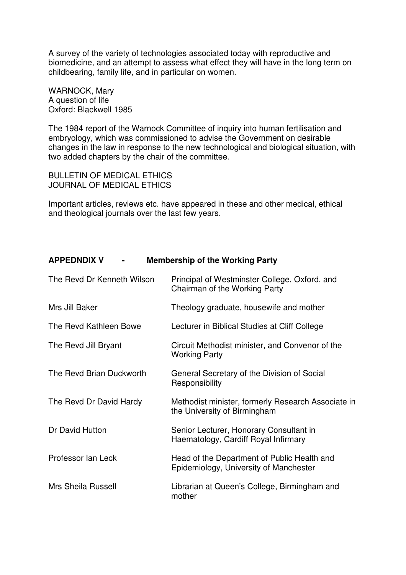A survey of the variety of technologies associated today with reproductive and biomedicine, and an attempt to assess what effect they will have in the long term on childbearing, family life, and in particular on women.

WARNOCK, Mary A question of life Oxford: Blackwell 1985

The 1984 report of the Warnock Committee of inquiry into human fertilisation and embryology, which was commissioned to advise the Government on desirable changes in the law in response to the new technological and biological situation, with two added chapters by the chair of the committee.

BULLETIN OF MEDICAL ETHICS JOURNAL OF MEDICAL ETHICS

Important articles, reviews etc. have appeared in these and other medical, ethical and theological journals over the last few years.

| The Revd Dr Kenneth Wilson | Principal of Westminster College, Oxford, and<br>Chairman of the Working Party        |
|----------------------------|---------------------------------------------------------------------------------------|
| Mrs Jill Baker             | Theology graduate, housewife and mother                                               |
| The Revd Kathleen Bowe     | Lecturer in Biblical Studies at Cliff College                                         |
| The Revd Jill Bryant       | Circuit Methodist minister, and Convenor of the<br><b>Working Party</b>               |
| The Revd Brian Duckworth   | General Secretary of the Division of Social<br>Responsibility                         |
| The Revd Dr David Hardy    | Methodist minister, formerly Research Associate in<br>the University of Birmingham    |
| Dr David Hutton            | Senior Lecturer, Honorary Consultant in<br>Haematology, Cardiff Royal Infirmary       |
| Professor Ian Leck         | Head of the Department of Public Health and<br>Epidemiology, University of Manchester |
| Mrs Sheila Russell         | Librarian at Queen's College, Birmingham and<br>mother                                |

# **APPEDNDIX V - Membership of the Working Party**